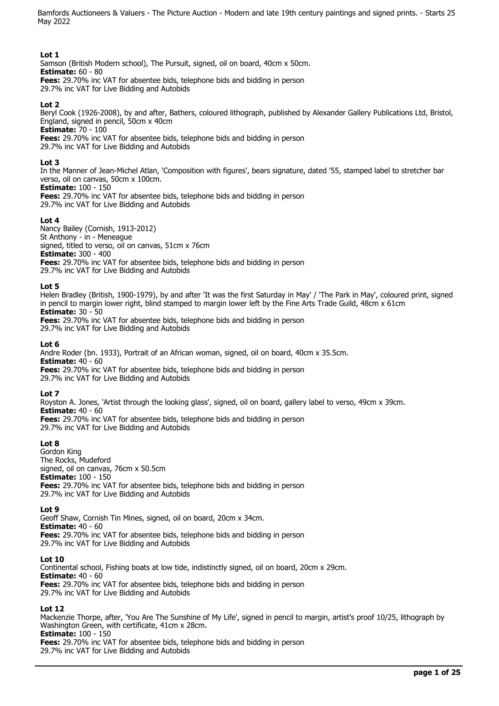## **Lot 1**

Samson (British Modern school), The Pursuit, signed, oil on board, 40cm x 50cm. **Estimate:** 60 - 80 **Fees:** 29.70% inc VAT for absentee bids, telephone bids and bidding in person 29.7% inc VAT for Live Bidding and Autobids

### **Lot 2**

Beryl Cook (1926-2008), by and after, Bathers, coloured lithograph, published by Alexander Gallery Publications Ltd, Bristol, England, signed in pencil, 50cm x 40cm

**Estimate:** 70 - 100

**Fees:** 29.70% inc VAT for absentee bids, telephone bids and bidding in person

29.7% inc VAT for Live Bidding and Autobids

## **Lot 3**

In the Manner of Jean-Michel Atlan, 'Composition with figures', bears signature, dated '55, stamped label to stretcher bar verso, oil on canvas, 50cm x 100cm.

**Estimate:** 100 - 150

**Fees:** 29.70% inc VAT for absentee bids, telephone bids and bidding in person 29.7% inc VAT for Live Bidding and Autobids

### **Lot 4**

Nancy Bailey (Cornish, 1913-2012) St Anthony - in - Meneague signed, titled to verso, oil on canvas, 51cm x 76cm **Estimate:** 300 - 400 **Fees:** 29.70% inc VAT for absentee bids, telephone bids and bidding in person 29.7% inc VAT for Live Bidding and Autobids

### **Lot 5**

Helen Bradley (British, 1900-1979), by and after 'It was the first Saturday in May' / 'The Park in May', coloured print, signed in pencil to margin lower right, blind stamped to margin lower left by the Fine Arts Trade Guild, 48cm x 61cm **Estimate:** 30 - 50

**Fees:** 29.70% inc VAT for absentee bids, telephone bids and bidding in person 29.7% inc VAT for Live Bidding and Autobids

### **Lot 6**

Andre Roder (bn. 1933), Portrait of an African woman, signed, oil on board, 40cm x 35.5cm. **Estimate:** 40 - 60 **Fees:** 29.70% inc VAT for absentee bids, telephone bids and bidding in person 29.7% inc VAT for Live Bidding and Autobids

### **Lot 7**

Royston A. Jones, 'Artist through the looking glass', signed, oil on board, gallery label to verso, 49cm x 39cm. **Estimate:** 40 - 60

**Fees:** 29.70% inc VAT for absentee bids, telephone bids and bidding in person 29.7% inc VAT for Live Bidding and Autobids

## **Lot 8**

Gordon King The Rocks, Mudeford signed, oil on canvas, 76cm x 50.5cm **Estimate:** 100 - 150 **Fees:** 29.70% inc VAT for absentee bids, telephone bids and bidding in person 29.7% inc VAT for Live Bidding and Autobids

### **Lot 9**

Geoff Shaw, Cornish Tin Mines, signed, oil on board, 20cm x 34cm. **Estimate:** 40 - 60 **Fees:** 29.70% inc VAT for absentee bids, telephone bids and bidding in person 29.7% inc VAT for Live Bidding and Autobids

### **Lot 10**

Continental school, Fishing boats at low tide, indistinctly signed, oil on board, 20cm x 29cm. **Estimate:** 40 - 60 **Fees:** 29.70% inc VAT for absentee bids, telephone bids and bidding in person 29.7% inc VAT for Live Bidding and Autobids

### **Lot 12**

Mackenzie Thorpe, after, 'You Are The Sunshine of My Life', signed in pencil to margin, artist's proof 10/25, lithograph by Washington Green, with certificate, 41cm x 28cm.

### **Estimate:** 100 - 150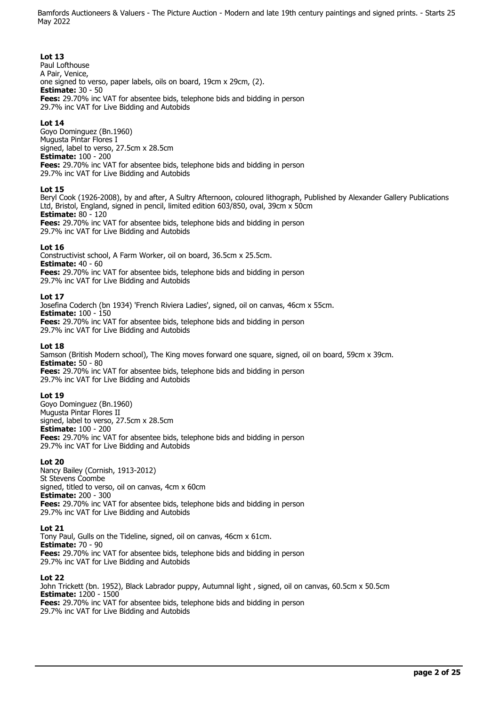## **Lot 13**

Paul Lofthouse A Pair, Venice, one signed to verso, paper labels, oils on board, 19cm x 29cm, (2). **Estimate:** 30 - 50 **Fees:** 29.70% inc VAT for absentee bids, telephone bids and bidding in person 29.7% inc VAT for Live Bidding and Autobids

## **Lot 14**

Goyo Dominguez (Bn.1960) Mugusta Pintar Flores I signed, label to verso, 27.5cm x 28.5cm **Estimate:** 100 - 200 **Fees:** 29.70% inc VAT for absentee bids, telephone bids and bidding in person 29.7% inc VAT for Live Bidding and Autobids

### **Lot 15**

Beryl Cook (1926-2008), by and after, A Sultry Afternoon, coloured lithograph, Published by Alexander Gallery Publications Ltd, Bristol, England, signed in pencil, limited edition 603/850, oval, 39cm x 50cm **Estimate:** 80 - 120

**Fees:** 29.70% inc VAT for absentee bids, telephone bids and bidding in person 29.7% inc VAT for Live Bidding and Autobids

### **Lot 16**

Constructivist school, A Farm Worker, oil on board, 36.5cm x 25.5cm. **Estimate:** 40 - 60 **Fees:** 29.70% inc VAT for absentee bids, telephone bids and bidding in person 29.7% inc VAT for Live Bidding and Autobids

### **Lot 17**

Josefina Coderch (bn 1934) 'French Riviera Ladies', signed, oil on canvas, 46cm x 55cm. **Estimate:** 100 - 150 **Fees:** 29.70% inc VAT for absentee bids, telephone bids and bidding in person 29.7% inc VAT for Live Bidding and Autobids

### **Lot 18**

Samson (British Modern school), The King moves forward one square, signed, oil on board, 59cm x 39cm. **Estimate:** 50 - 80 **Fees:** 29.70% inc VAT for absentee bids, telephone bids and bidding in person 29.7% inc VAT for Live Bidding and Autobids

## **Lot 19**

Goyo Dominguez (Bn.1960) Mugusta Pintar Flores II signed, label to verso, 27.5cm x 28.5cm **Estimate:** 100 - 200 **Fees:** 29.70% inc VAT for absentee bids, telephone bids and bidding in person 29.7% inc VAT for Live Bidding and Autobids

### **Lot 20**

Nancy Bailey (Cornish, 1913-2012) St Stevens Coombe signed, titled to verso, oil on canvas, 4cm x 60cm **Estimate:** 200 - 300 **Fees:** 29.70% inc VAT for absentee bids, telephone bids and bidding in person 29.7% inc VAT for Live Bidding and Autobids

### **Lot 21**

Tony Paul, Gulls on the Tideline, signed, oil on canvas, 46cm x 61cm. **Estimate:** 70 - 90 **Fees:** 29.70% inc VAT for absentee bids, telephone bids and bidding in person 29.7% inc VAT for Live Bidding and Autobids

### **Lot 22**

John Trickett (bn. 1952), Black Labrador puppy, Autumnal light , signed, oil on canvas, 60.5cm x 50.5cm **Estimate:** 1200 - 1500 **Fees:** 29.70% inc VAT for absentee bids, telephone bids and bidding in person 29.7% inc VAT for Live Bidding and Autobids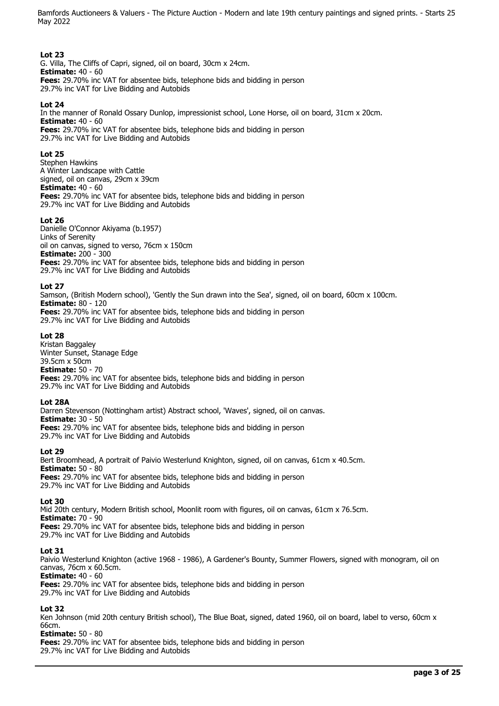## **Lot 23**

G. Villa, The Cliffs of Capri, signed, oil on board, 30cm x 24cm. **Estimate:** 40 - 60 **Fees:** 29.70% inc VAT for absentee bids, telephone bids and bidding in person 29.7% inc VAT for Live Bidding and Autobids

### **Lot 24**

In the manner of Ronald Ossary Dunlop, impressionist school, Lone Horse, oil on board, 31cm x 20cm. **Estimate:** 40 - 60 **Fees:** 29.70% inc VAT for absentee bids, telephone bids and bidding in person 29.7% inc VAT for Live Bidding and Autobids

#### **Lot 25**

Stephen Hawkins A Winter Landscape with Cattle signed, oil on canvas, 29cm x 39cm **Estimate:** 40 - 60 **Fees:** 29.70% inc VAT for absentee bids, telephone bids and bidding in person 29.7% inc VAT for Live Bidding and Autobids

#### **Lot 26**

Danielle O'Connor Akiyama (b.1957) Links of Serenity oil on canvas, signed to verso, 76cm x 150cm **Estimate:** 200 - 300 **Fees:** 29.70% inc VAT for absentee bids, telephone bids and bidding in person 29.7% inc VAT for Live Bidding and Autobids

#### **Lot 27**

Samson, (British Modern school), 'Gently the Sun drawn into the Sea', signed, oil on board, 60cm x 100cm. **Estimate:** 80 - 120 **Fees:** 29.70% inc VAT for absentee bids, telephone bids and bidding in person 29.7% inc VAT for Live Bidding and Autobids

#### **Lot 28**

Kristan Baggaley Winter Sunset, Stanage Edge 39.5cm x 50cm **Estimate:** 50 - 70 **Fees:** 29.70% inc VAT for absentee bids, telephone bids and bidding in person 29.7% inc VAT for Live Bidding and Autobids

#### **Lot 28A**

Darren Stevenson (Nottingham artist) Abstract school, 'Waves', signed, oil on canvas. **Estimate:** 30 - 50 **Fees:** 29.70% inc VAT for absentee bids, telephone bids and bidding in person 29.7% inc VAT for Live Bidding and Autobids

### **Lot 29**

Bert Broomhead, A portrait of Paivio Westerlund Knighton, signed, oil on canvas, 61cm x 40.5cm. **Estimate:** 50 - 80 **Fees:** 29.70% inc VAT for absentee bids, telephone bids and bidding in person 29.7% inc VAT for Live Bidding and Autobids

#### **Lot 30**

Mid 20th century, Modern British school, Moonlit room with figures, oil on canvas, 61cm x 76.5cm. **Estimate:** 70 - 90 **Fees:** 29.70% inc VAT for absentee bids, telephone bids and bidding in person 29.7% inc VAT for Live Bidding and Autobids

#### **Lot 31**

Paivio Westerlund Knighton (active 1968 - 1986), A Gardener's Bounty, Summer Flowers, signed with monogram, oil on canvas, 76cm x 60.5cm.

**Estimate:** 40 - 60

**Fees:** 29.70% inc VAT for absentee bids, telephone bids and bidding in person 29.7% inc VAT for Live Bidding and Autobids

### **Lot 32**

Ken Johnson (mid 20th century British school), The Blue Boat, signed, dated 1960, oil on board, label to verso, 60cm x 66cm.

#### **Estimate:** 50 - 80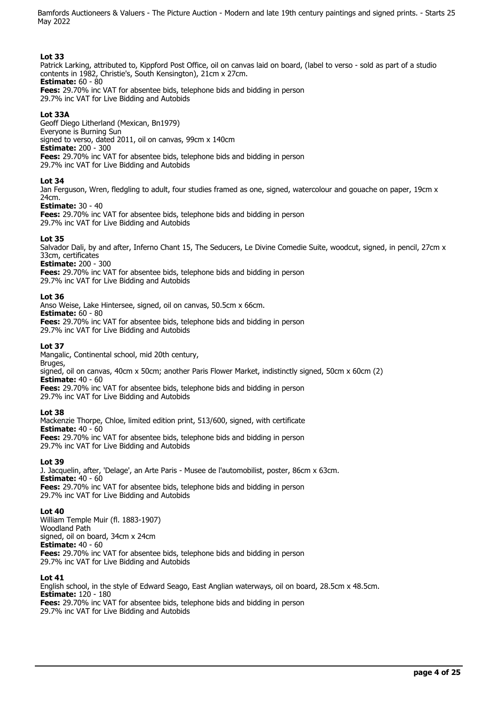## **Lot 33**

Patrick Larking, attributed to, Kippford Post Office, oil on canvas laid on board, (label to verso - sold as part of a studio contents in 1982, Christie's, South Kensington), 21cm x 27cm. **Estimate:** 60 - 80

**Fees:** 29.70% inc VAT for absentee bids, telephone bids and bidding in person 29.7% inc VAT for Live Bidding and Autobids

## **Lot 33A**

Geoff Diego Litherland (Mexican, Bn1979) Everyone is Burning Sun signed to verso, dated 2011, oil on canvas, 99cm x 140cm **Estimate:** 200 - 300 **Fees:** 29.70% inc VAT for absentee bids, telephone bids and bidding in person 29.7% inc VAT for Live Bidding and Autobids

### **Lot 34**

Jan Ferguson, Wren, fledgling to adult, four studies framed as one, signed, watercolour and gouache on paper, 19cm x 24cm.

### **Estimate:** 30 - 40

**Fees:** 29.70% inc VAT for absentee bids, telephone bids and bidding in person 29.7% inc VAT for Live Bidding and Autobids

### **Lot 35**

Salvador Dali, by and after, Inferno Chant 15, The Seducers, Le Divine Comedie Suite, woodcut, signed, in pencil, 27cm x 33cm, certificates

### **Estimate:** 200 - 300

**Fees:** 29.70% inc VAT for absentee bids, telephone bids and bidding in person 29.7% inc VAT for Live Bidding and Autobids

### **Lot 36**

Anso Weise, Lake Hintersee, signed, oil on canvas, 50.5cm x 66cm. **Estimate:** 60 - 80 **Fees:** 29.70% inc VAT for absentee bids, telephone bids and bidding in person 29.7% inc VAT for Live Bidding and Autobids

### **Lot 37**

Mangalic, Continental school, mid 20th century,

Bruges, signed, oil on canvas, 40cm x 50cm; another Paris Flower Market, indistinctly signed, 50cm x 60cm (2) **Estimate:** 40 - 60

**Fees:** 29.70% inc VAT for absentee bids, telephone bids and bidding in person 29.7% inc VAT for Live Bidding and Autobids

### **Lot 38**

Mackenzie Thorpe, Chloe, limited edition print, 513/600, signed, with certificate **Estimate:** 40 - 60 **Fees:** 29.70% inc VAT for absentee bids, telephone bids and bidding in person 29.7% inc VAT for Live Bidding and Autobids

### **Lot 39**

J. Jacquelin, after, 'Delage', an Arte Paris - Musee de l'automobilist, poster, 86cm x 63cm. **Estimate:** 40 - 60 **Fees:** 29.70% inc VAT for absentee bids, telephone bids and bidding in person 29.7% inc VAT for Live Bidding and Autobids

### **Lot 40**

William Temple Muir (fl. 1883-1907) Woodland Path signed, oil on board, 34cm x 24cm **Estimate:** 40 - 60 **Fees:** 29.70% inc VAT for absentee bids, telephone bids and bidding in person 29.7% inc VAT for Live Bidding and Autobids

### **Lot 41**

English school, in the style of Edward Seago, East Anglian waterways, oil on board, 28.5cm x 48.5cm. **Estimate:** 120 - 180 **Fees:** 29.70% inc VAT for absentee bids, telephone bids and bidding in person 29.7% inc VAT for Live Bidding and Autobids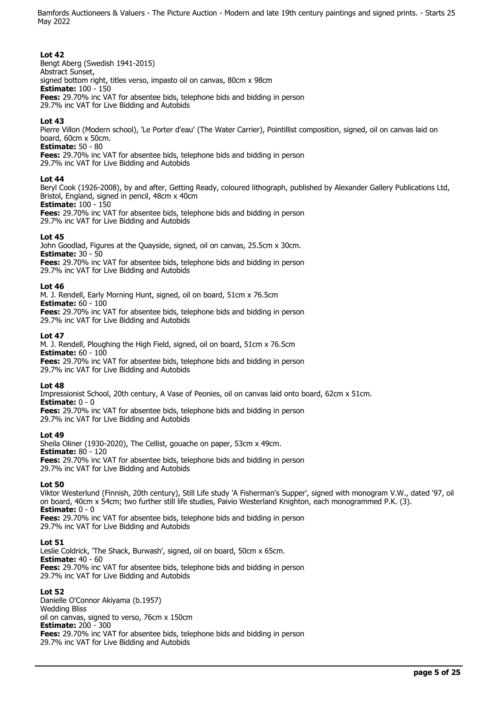## **Lot 42**

Bengt Aberg (Swedish 1941-2015) Abstract Sunset, signed bottom right, titles verso, impasto oil on canvas, 80cm x 98cm **Estimate:** 100 - 150 **Fees:** 29.70% inc VAT for absentee bids, telephone bids and bidding in person 29.7% inc VAT for Live Bidding and Autobids

## **Lot 43**

Pierre Villon (Modern school), 'Le Porter d'eau' (The Water Carrier), Pointillist composition, signed, oil on canvas laid on board, 60cm x 50cm.

**Estimate:** 50 - 80

**Fees:** 29.70% inc VAT for absentee bids, telephone bids and bidding in person 29.7% inc VAT for Live Bidding and Autobids

### **Lot 44**

Beryl Cook (1926-2008), by and after, Getting Ready, coloured lithograph, published by Alexander Gallery Publications Ltd, Bristol, England, signed in pencil, 48cm x 40cm

**Estimate:** 100 - 150

**Fees:** 29.70% inc VAT for absentee bids, telephone bids and bidding in person 29.7% inc VAT for Live Bidding and Autobids

### **Lot 45**

John Goodlad, Figures at the Quayside, signed, oil on canvas, 25.5cm x 30cm. **Estimate:** 30 - 50 **Fees:** 29.70% inc VAT for absentee bids, telephone bids and bidding in person

29.7% inc VAT for Live Bidding and Autobids

### **Lot 46**

M. J. Rendell, Early Morning Hunt, signed, oil on board, 51cm x 76.5cm **Estimate:** 60 - 100

**Fees:** 29.70% inc VAT for absentee bids, telephone bids and bidding in person 29.7% inc VAT for Live Bidding and Autobids

### **Lot 47**

M. J. Rendell, Ploughing the High Field, signed, oil on board, 51cm x 76.5cm **Estimate:** 60 - 100 **Fees:** 29.70% inc VAT for absentee bids, telephone bids and bidding in person 29.7% inc VAT for Live Bidding and Autobids

**Lot 48** 

Impressionist School, 20th century, A Vase of Peonies, oil on canvas laid onto board, 62cm x 51cm. **Estimate:** 0 - 0

**Fees:** 29.70% inc VAT for absentee bids, telephone bids and bidding in person

29.7% inc VAT for Live Bidding and Autobids

### **Lot 49**

Sheila Oliner (1930-2020), The Cellist, gouache on paper, 53cm x 49cm. **Estimate:** 80 - 120 **Fees:** 29.70% inc VAT for absentee bids, telephone bids and bidding in person 29.7% inc VAT for Live Bidding and Autobids

**Lot 50** 

Viktor Westerlund (Finnish, 20th century), Still Life study 'A Fisherman's Supper', signed with monogram V.W., dated '97, oil on board, 40cm x 54cm; two further still life studies, Paivio Westerland Knighton, each monogrammed P.K. (3). **Estimate:** 0 - 0

**Fees:** 29.70% inc VAT for absentee bids, telephone bids and bidding in person 29.7% inc VAT for Live Bidding and Autobids

### **Lot 51**

Leslie Coldrick, 'The Shack, Burwash', signed, oil on board, 50cm x 65cm. **Estimate:** 40 - 60 **Fees:** 29.70% inc VAT for absentee bids, telephone bids and bidding in person 29.7% inc VAT for Live Bidding and Autobids

### **Lot 52**

Danielle O'Connor Akiyama (b.1957) Wedding Bliss oil on canvas, signed to verso, 76cm x 150cm **Estimate:** 200 - 300 **Fees:** 29.70% inc VAT for absentee bids, telephone bids and bidding in person 29.7% inc VAT for Live Bidding and Autobids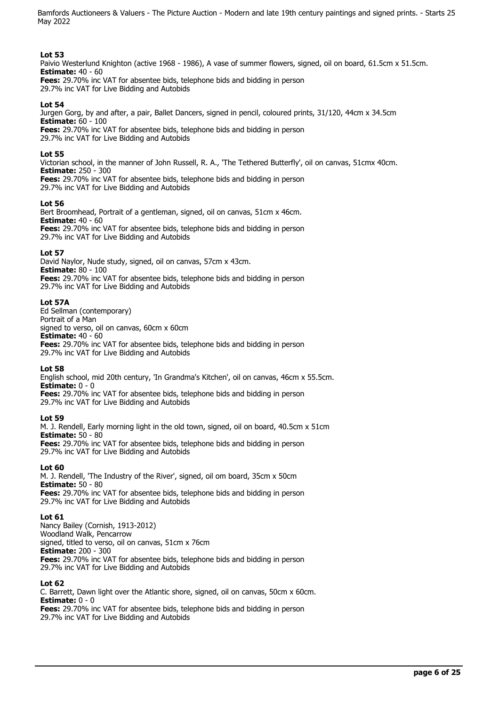## **Lot 53**

Paivio Westerlund Knighton (active 1968 - 1986), A vase of summer flowers, signed, oil on board, 61.5cm x 51.5cm. **Estimate:** 40 - 60

**Fees:** 29.70% inc VAT for absentee bids, telephone bids and bidding in person 29.7% inc VAT for Live Bidding and Autobids

### **Lot 54**

Jurgen Gorg, by and after, a pair, Ballet Dancers, signed in pencil, coloured prints, 31/120, 44cm x 34.5cm **Estimate:** 60 - 100 **Fees:** 29.70% inc VAT for absentee bids, telephone bids and bidding in person 29.7% inc VAT for Live Bidding and Autobids

### **Lot 55**

Victorian school, in the manner of John Russell, R. A., 'The Tethered Butterfly', oil on canvas, 51cmx 40cm. **Estimate:** 250 - 300

**Fees:** 29.70% inc VAT for absentee bids, telephone bids and bidding in person 29.7% inc VAT for Live Bidding and Autobids

### **Lot 56**

Bert Broomhead, Portrait of a gentleman, signed, oil on canvas, 51cm x 46cm. **Estimate:** 40 - 60 **Fees:** 29.70% inc VAT for absentee bids, telephone bids and bidding in person

29.7% inc VAT for Live Bidding and Autobids

### **Lot 57**

David Naylor, Nude study, signed, oil on canvas, 57cm x 43cm. **Estimate:** 80 - 100 **Fees:** 29.70% inc VAT for absentee bids, telephone bids and bidding in person 29.7% inc VAT for Live Bidding and Autobids

### **Lot 57A**

Ed Sellman (contemporary) Portrait of a Man signed to verso, oil on canvas, 60cm x 60cm **Estimate:** 40 - 60 **Fees:** 29.70% inc VAT for absentee bids, telephone bids and bidding in person 29.7% inc VAT for Live Bidding and Autobids

### **Lot 58**

English school, mid 20th century, 'In Grandma's Kitchen', oil on canvas, 46cm x 55.5cm. **Estimate:** 0 - 0

**Fees:** 29.70% inc VAT for absentee bids, telephone bids and bidding in person 29.7% inc VAT for Live Bidding and Autobids

## **Lot 59**

M. J. Rendell, Early morning light in the old town, signed, oil on board, 40.5cm x 51cm **Estimate:** 50 - 80 **Fees:** 29.70% inc VAT for absentee bids, telephone bids and bidding in person

29.7% inc VAT for Live Bidding and Autobids

## **Lot 60**

M. J. Rendell, 'The Industry of the River', signed, oil om board, 35cm x 50cm **Estimate:** 50 - 80

**Fees:** 29.70% inc VAT for absentee bids, telephone bids and bidding in person 29.7% inc VAT for Live Bidding and Autobids

### **Lot 61**

Nancy Bailey (Cornish, 1913-2012) Woodland Walk, Pencarrow signed, titled to verso, oil on canvas, 51cm x 76cm **Estimate:** 200 - 300 **Fees:** 29.70% inc VAT for absentee bids, telephone bids and bidding in person 29.7% inc VAT for Live Bidding and Autobids

### **Lot 62**

C. Barrett, Dawn light over the Atlantic shore, signed, oil on canvas, 50cm x 60cm. **Estimate:**  $0 - 0$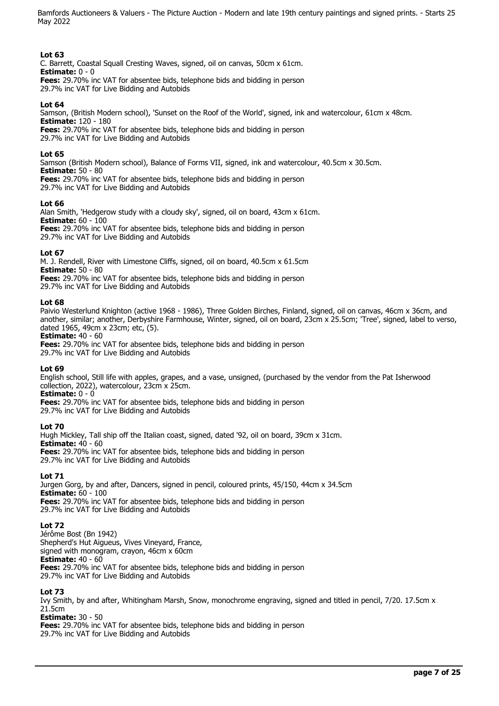## **Lot 63**

C. Barrett, Coastal Squall Cresting Waves, signed, oil on canvas, 50cm x 61cm. **Estimate:** 0 - 0

**Fees:** 29.70% inc VAT for absentee bids, telephone bids and bidding in person 29.7% inc VAT for Live Bidding and Autobids

## **Lot 64**

Samson, (British Modern school), 'Sunset on the Roof of the World', signed, ink and watercolour, 61cm x 48cm. **Estimate:** 120 - 180 **Fees:** 29.70% inc VAT for absentee bids, telephone bids and bidding in person

29.7% inc VAT for Live Bidding and Autobids

## **Lot 65**

Samson (British Modern school), Balance of Forms VII, signed, ink and watercolour, 40.5cm x 30.5cm. **Estimate:** 50 - 80

**Fees:** 29.70% inc VAT for absentee bids, telephone bids and bidding in person 29.7% inc VAT for Live Bidding and Autobids

# **Lot 66**

Alan Smith, 'Hedgerow study with a cloudy sky', signed, oil on board, 43cm x 61cm. **Estimate:** 60 - 100

**Fees:** 29.70% inc VAT for absentee bids, telephone bids and bidding in person 29.7% inc VAT for Live Bidding and Autobids

# **Lot 67**

M. J. Rendell, River with Limestone Cliffs, signed, oil on board, 40.5cm x 61.5cm **Estimate:** 50 - 80 **Fees:** 29.70% inc VAT for absentee bids, telephone bids and bidding in person

29.7% inc VAT for Live Bidding and Autobids

## **Lot 68**

Paivio Westerlund Knighton (active 1968 - 1986), Three Golden Birches, Finland, signed, oil on canvas, 46cm x 36cm, and another, similar; another, Derbyshire Farmhouse, Winter, signed, oil on board, 23cm x 25.5cm; 'Tree', signed, label to verso, dated 1965, 49cm x 23cm; etc, (5).

**Estimate:** 40 - 60

**Fees:** 29.70% inc VAT for absentee bids, telephone bids and bidding in person 29.7% inc VAT for Live Bidding and Autobids

## **Lot 69**

English school, Still life with apples, grapes, and a vase, unsigned, (purchased by the vendor from the Pat Isherwood collection, 2022), watercolour, 23cm x 25cm.

**Estimate:** 0 - 0

**Fees:** 29.70% inc VAT for absentee bids, telephone bids and bidding in person 29.7% inc VAT for Live Bidding and Autobids

## **Lot 70**

Hugh Mickley, Tall ship off the Italian coast, signed, dated '92, oil on board, 39cm x 31cm. **Estimate:** 40 - 60 **Fees:** 29.70% inc VAT for absentee bids, telephone bids and bidding in person 29.7% inc VAT for Live Bidding and Autobids

## **Lot 71**

Jurgen Gorg, by and after, Dancers, signed in pencil, coloured prints, 45/150, 44cm x 34.5cm **Estimate:** 60 - 100 **Fees:** 29.70% inc VAT for absentee bids, telephone bids and bidding in person 29.7% inc VAT for Live Bidding and Autobids

## **Lot 72**

Jérôme Bost (Bn 1942) Shepherd's Hut Aigueus, Vives Vineyard, France, signed with monogram, crayon, 46cm x 60cm **Estimate:** 40 - 60 **Fees:** 29.70% inc VAT for absentee bids, telephone bids and bidding in person 29.7% inc VAT for Live Bidding and Autobids

## **Lot 73**

Ivy Smith, by and after, Whitingham Marsh, Snow, monochrome engraving, signed and titled in pencil, 7/20. 17.5cm x 21.5cm

**Estimate:** 30 - 50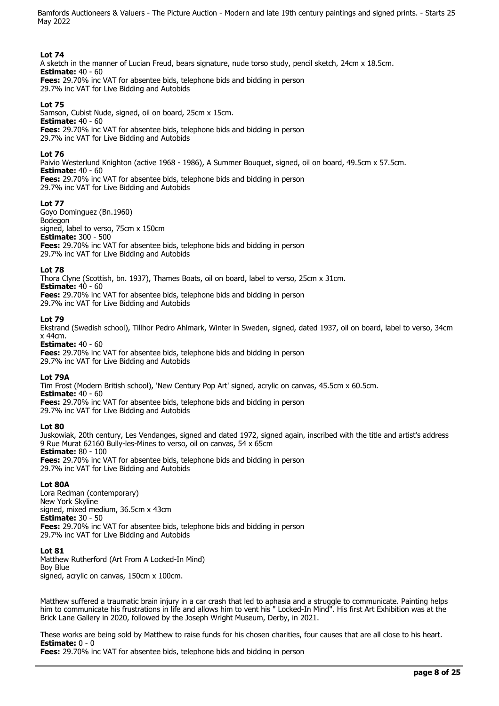### **Lot 74**

A sketch in the manner of Lucian Freud, bears signature, nude torso study, pencil sketch, 24cm x 18.5cm. **Estimate:** 40 - 60 **Fees:** 29.70% inc VAT for absentee bids, telephone bids and bidding in person 29.7% inc VAT for Live Bidding and Autobids

### **Lot 75**

Samson, Cubist Nude, signed, oil on board, 25cm x 15cm. **Estimate:** 40 - 60 **Fees:** 29.70% inc VAT for absentee bids, telephone bids and bidding in person 29.7% inc VAT for Live Bidding and Autobids

### **Lot 76**

Paivio Westerlund Knighton (active 1968 - 1986), A Summer Bouquet, signed, oil on board, 49.5cm x 57.5cm. **Estimate:** 40 - 60 **Fees:** 29.70% inc VAT for absentee bids, telephone bids and bidding in person

29.7% inc VAT for Live Bidding and Autobids

### **Lot 77**

Goyo Dominguez (Bn.1960) Bodegon signed, label to verso, 75cm x 150cm **Estimate:** 300 - 500 **Fees:** 29.70% inc VAT for absentee bids, telephone bids and bidding in person 29.7% inc VAT for Live Bidding and Autobids

### **Lot 78**

Thora Clyne (Scottish, bn. 1937), Thames Boats, oil on board, label to verso, 25cm x 31cm. **Estimate:** 40 - 60 **Fees:** 29.70% inc VAT for absentee bids, telephone bids and bidding in person 29.7% inc VAT for Live Bidding and Autobids

### **Lot 79**

Ekstrand (Swedish school), Tillhor Pedro Ahlmark, Winter in Sweden, signed, dated 1937, oil on board, label to verso, 34cm x 44cm.

**Estimate:** 40 - 60 **Fees:** 29.70% inc VAT for absentee bids, telephone bids and bidding in person 29.7% inc VAT for Live Bidding and Autobids

### **Lot 79A**

Tim Frost (Modern British school), 'New Century Pop Art' signed, acrylic on canvas, 45.5cm x 60.5cm. **Estimate:** 40 - 60 **Fees:** 29.70% inc VAT for absentee bids, telephone bids and bidding in person 29.7% inc VAT for Live Bidding and Autobids

### **Lot 80**

Juskowiak, 20th century, Les Vendanges, signed and dated 1972, signed again, inscribed with the title and artist's address 9 Rue Murat 62160 Bully-les-Mines to verso, oil on canvas, 54 x 65cm **Estimate:** 80 - 100 **Fees:** 29.70% inc VAT for absentee bids, telephone bids and bidding in person 29.7% inc VAT for Live Bidding and Autobids

### **Lot 80A**

Lora Redman (contemporary) New York Skyline signed, mixed medium, 36.5cm x 43cm **Estimate:** 30 - 50 **Fees:** 29.70% inc VAT for absentee bids, telephone bids and bidding in person 29.7% inc VAT for Live Bidding and Autobids

### **Lot 81**

Matthew Rutherford (Art From A Locked-In Mind) Boy Blue signed, acrylic on canvas, 150cm x 100cm.

Matthew suffered a traumatic brain injury in a car crash that led to aphasia and a struggle to communicate. Painting helps him to communicate his frustrations in life and allows him to vent his " Locked-In Mind". His first Art Exhibition was at the Brick Lane Gallery in 2020, followed by the Joseph Wright Museum, Derby, in 2021.

These works are being sold by Matthew to raise funds for his chosen charities, four causes that are all close to his heart. **Estimate:** 0 - 0

**Fees:** 29.70% inc VAT for absentee bids, telephone bids and bidding in person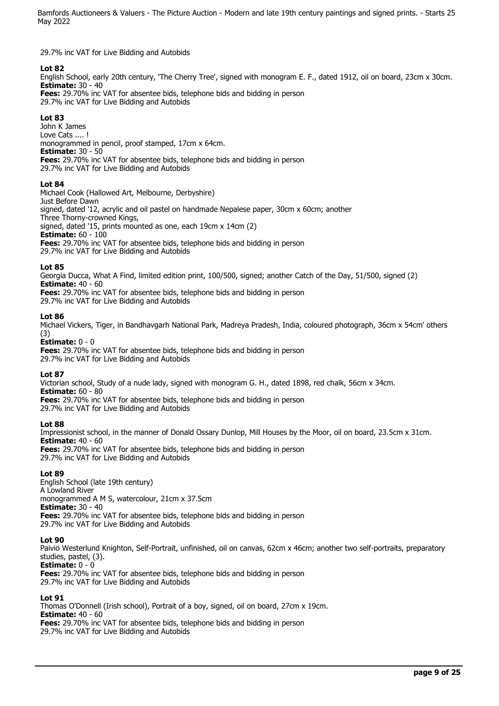29.7% inc VAT for Live Bidding and Autobids

# **Lot 82**

English School, early 20th century, 'The Cherry Tree', signed with monogram E. F., dated 1912, oil on board, 23cm x 30cm. **Estimate:** 30 - 40

**Fees:** 29.70% inc VAT for absentee bids, telephone bids and bidding in person 29.7% inc VAT for Live Bidding and Autobids

## **Lot 83**

John K James Love Cats ....! monogrammed in pencil, proof stamped, 17cm x 64cm. **Estimate:** 30 - 50 **Fees:** 29.70% inc VAT for absentee bids, telephone bids and bidding in person 29.7% inc VAT for Live Bidding and Autobids

## **Lot 84**

Michael Cook (Hallowed Art, Melbourne, Derbyshire) Just Before Dawn signed, dated '12, acrylic and oil pastel on handmade Nepalese paper, 30cm x 60cm; another Three Thorny-crowned Kings, signed, dated '15, prints mounted as one, each 19cm x 14cm (2) **Estimate:** 60 - 100 **Fees:** 29.70% inc VAT for absentee bids, telephone bids and bidding in person 29.7% inc VAT for Live Bidding and Autobids

### **Lot 85**

Georgia Ducca, What A Find, limited edition print, 100/500, signed; another Catch of the Day, 51/500, signed (2) **Estimate:** 40 - 60

**Fees:** 29.70% inc VAT for absentee bids, telephone bids and bidding in person

29.7% inc VAT for Live Bidding and Autobids

### **Lot 86**

Michael Vickers, Tiger, in Bandhavgarh National Park, Madreya Pradesh, India, coloured photograph, 36cm x 54cm' others (3)

**Estimate:** 0 - 0

**Fees:** 29.70% inc VAT for absentee bids, telephone bids and bidding in person 29.7% inc VAT for Live Bidding and Autobids

## **Lot 87**

Victorian school, Study of a nude lady, signed with monogram G. H., dated 1898, red chalk, 56cm x 34cm. **Estimate:** 60 - 80 **Fees:** 29.70% inc VAT for absentee bids, telephone bids and bidding in person

29.7% inc VAT for Live Bidding and Autobids

## **Lot 88**

Impressionist school, in the manner of Donald Ossary Dunlop, Mill Houses by the Moor, oil on board, 23.5cm x 31cm. **Estimate:** 40 - 60

**Fees:** 29.70% inc VAT for absentee bids, telephone bids and bidding in person 29.7% inc VAT for Live Bidding and Autobids

## **Lot 89**

English School (late 19th century) A Lowland River monogrammed A M S, watercolour, 21cm x 37.5cm **Estimate:** 30 - 40 **Fees:** 29.70% inc VAT for absentee bids, telephone bids and bidding in person 29.7% inc VAT for Live Bidding and Autobids

### **Lot 90**

Paivio Westerlund Knighton, Self-Portrait, unfinished, oil on canvas, 62cm x 46cm; another two self-portraits, preparatory studies, pastel, (3).

**Estimate:** 0 - 0

**Fees:** 29.70% inc VAT for absentee bids, telephone bids and bidding in person 29.7% inc VAT for Live Bidding and Autobids

### **Lot 91**

Thomas O'Donnell (Irish school), Portrait of a boy, signed, oil on board, 27cm x 19cm. **Estimate:** 40 - 60 **Fees:** 29.70% inc VAT for absentee bids, telephone bids and bidding in person 29.7% inc VAT for Live Bidding and Autobids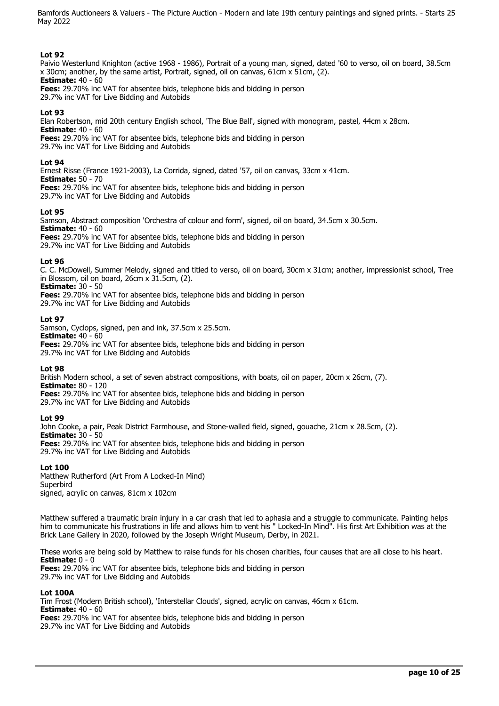## **Lot 92**

Paivio Westerlund Knighton (active 1968 - 1986), Portrait of a young man, signed, dated '60 to verso, oil on board, 38.5cm x 30cm; another, by the same artist, Portrait, signed, oil on canvas, 61cm x 51cm, (2). **Estimate:** 40 - 60

**Fees:** 29.70% inc VAT for absentee bids, telephone bids and bidding in person 29.7% inc VAT for Live Bidding and Autobids

## **Lot 93**

Elan Robertson, mid 20th century English school, 'The Blue Ball', signed with monogram, pastel, 44cm x 28cm. **Estimate:** 40 - 60

**Fees:** 29.70% inc VAT for absentee bids, telephone bids and bidding in person 29.7% inc VAT for Live Bidding and Autobids

### **Lot 94**

Ernest Risse (France 1921-2003), La Corrida, signed, dated '57, oil on canvas, 33cm x 41cm. **Estimate:** 50 - 70

**Fees:** 29.70% inc VAT for absentee bids, telephone bids and bidding in person 29.7% inc VAT for Live Bidding and Autobids

### **Lot 95**

Samson, Abstract composition 'Orchestra of colour and form', signed, oil on board, 34.5cm x 30.5cm. **Estimate:** 40 - 60 **Fees:** 29.70% inc VAT for absentee bids, telephone bids and bidding in person 29.7% inc VAT for Live Bidding and Autobids

### **Lot 96**

C. C. McDowell, Summer Melody, signed and titled to verso, oil on board, 30cm x 31cm; another, impressionist school, Tree in Blossom, oil on board, 26cm x 31.5cm, (2).

**Estimate:** 30 - 50 **Fees:** 29.70% inc VAT for absentee bids, telephone bids and bidding in person

29.7% inc VAT for Live Bidding and Autobids

### **Lot 97**

Samson, Cyclops, signed, pen and ink, 37.5cm x 25.5cm. **Estimate:** 40 - 60 **Fees:** 29.70% inc VAT for absentee bids, telephone bids and bidding in person 29.7% inc VAT for Live Bidding and Autobids

### **Lot 98**

British Modern school, a set of seven abstract compositions, with boats, oil on paper, 20cm x 26cm, (7). **Estimate:** 80 - 120 **Fees:** 29.70% inc VAT for absentee bids, telephone bids and bidding in person 29.7% inc VAT for Live Bidding and Autobids

### **Lot 99**

John Cooke, a pair, Peak District Farmhouse, and Stone-walled field, signed, gouache, 21cm x 28.5cm, (2). **Estimate:** 30 - 50 **Fees:** 29.70% inc VAT for absentee bids, telephone bids and bidding in person 29.7% inc VAT for Live Bidding and Autobids

## **Lot 100**

Matthew Rutherford (Art From A Locked-In Mind) **Superbird** signed, acrylic on canvas, 81cm x 102cm

Matthew suffered a traumatic brain injury in a car crash that led to aphasia and a struggle to communicate. Painting helps him to communicate his frustrations in life and allows him to vent his " Locked-In Mind". His first Art Exhibition was at the Brick Lane Gallery in 2020, followed by the Joseph Wright Museum, Derby, in 2021.

These works are being sold by Matthew to raise funds for his chosen charities, four causes that are all close to his heart. **Estimate:** 0 - 0

**Fees:** 29.70% inc VAT for absentee bids, telephone bids and bidding in person 29.7% inc VAT for Live Bidding and Autobids

### **Lot 100A**

Tim Frost (Modern British school), 'Interstellar Clouds', signed, acrylic on canvas, 46cm x 61cm. **Estimate:** 40 - 60 **Fees:** 29.70% inc VAT for absentee bids, telephone bids and bidding in person 29.7% inc VAT for Live Bidding and Autobids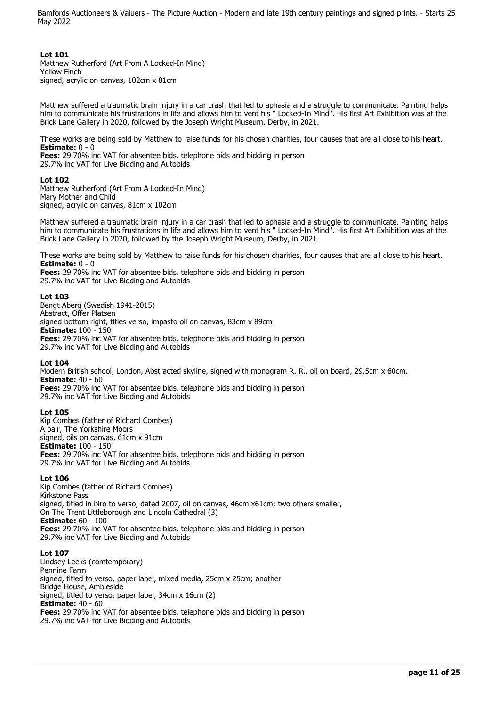### **Lot 101**

Matthew Rutherford (Art From A Locked-In Mind) Yellow Finch signed, acrylic on canvas, 102cm x 81cm

Matthew suffered a traumatic brain injury in a car crash that led to aphasia and a struggle to communicate. Painting helps him to communicate his frustrations in life and allows him to vent his " Locked-In Mind". His first Art Exhibition was at the Brick Lane Gallery in 2020, followed by the Joseph Wright Museum, Derby, in 2021.

These works are being sold by Matthew to raise funds for his chosen charities, four causes that are all close to his heart. **Estimate:** 0 - 0

**Fees:** 29.70% inc VAT for absentee bids, telephone bids and bidding in person 29.7% inc VAT for Live Bidding and Autobids

### **Lot 102**

Matthew Rutherford (Art From A Locked-In Mind) Mary Mother and Child signed, acrylic on canvas, 81cm x 102cm

Matthew suffered a traumatic brain injury in a car crash that led to aphasia and a struggle to communicate. Painting helps him to communicate his frustrations in life and allows him to vent his " Locked-In Mind". His first Art Exhibition was at the Brick Lane Gallery in 2020, followed by the Joseph Wright Museum, Derby, in 2021.

These works are being sold by Matthew to raise funds for his chosen charities, four causes that are all close to his heart. **Estimate:** 0 - 0

**Fees:** 29.70% inc VAT for absentee bids, telephone bids and bidding in person 29.7% inc VAT for Live Bidding and Autobids

### **Lot 103**

Bengt Aberg (Swedish 1941-2015) Abstract, Offer Platsen signed bottom right, titles verso, impasto oil on canvas, 83cm x 89cm **Estimate:** 100 - 150 **Fees:** 29.70% inc VAT for absentee bids, telephone bids and bidding in person 29.7% inc VAT for Live Bidding and Autobids

### **Lot 104**

Modern British school, London, Abstracted skyline, signed with monogram R. R., oil on board, 29.5cm x 60cm. **Estimate:** 40 - 60 **Fees:** 29.70% inc VAT for absentee bids, telephone bids and bidding in person

29.7% inc VAT for Live Bidding and Autobids

## **Lot 105**

Kip Combes (father of Richard Combes) A pair, The Yorkshire Moors signed, oils on canvas, 61cm x 91cm **Estimate:** 100 - 150 **Fees:** 29.70% inc VAT for absentee bids, telephone bids and bidding in person 29.7% inc VAT for Live Bidding and Autobids

## **Lot 106**

Kip Combes (father of Richard Combes) Kirkstone Pass signed, titled in biro to verso, dated 2007, oil on canvas, 46cm x61cm; two others smaller, On The Trent Littleborough and Lincoln Cathedral (3) **Estimate:** 60 - 100 **Fees:** 29.70% inc VAT for absentee bids, telephone bids and bidding in person 29.7% inc VAT for Live Bidding and Autobids

# **Lot 107**

Lindsey Leeks (comtemporary) Pennine Farm signed, titled to verso, paper label, mixed media, 25cm x 25cm; another Bridge House, Ambleside signed, titled to verso, paper label, 34cm x 16cm (2) **Estimate:** 40 - 60 **Fees:** 29.70% inc VAT for absentee bids, telephone bids and bidding in person 29.7% inc VAT for Live Bidding and Autobids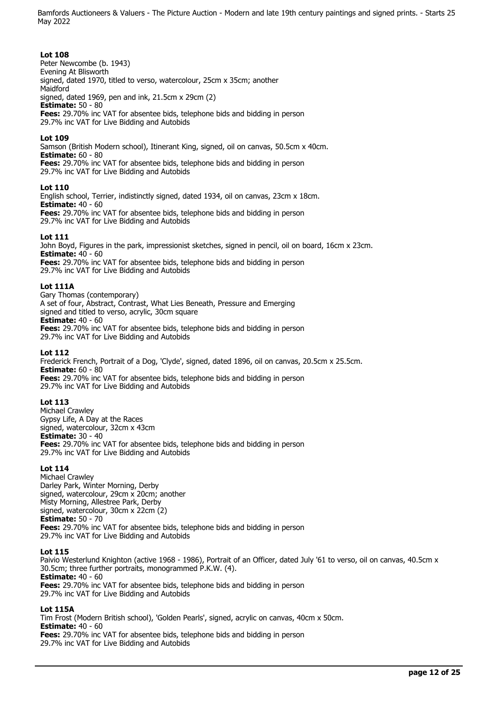## **Lot 108**

Peter Newcombe (b. 1943) Evening At Blisworth signed, dated 1970, titled to verso, watercolour, 25cm x 35cm; another Maidford signed, dated 1969, pen and ink, 21.5cm x 29cm (2) **Estimate:** 50 - 80 **Fees:** 29.70% inc VAT for absentee bids, telephone bids and bidding in person 29.7% inc VAT for Live Bidding and Autobids

## **Lot 109**

Samson (British Modern school), Itinerant King, signed, oil on canvas, 50.5cm x 40cm. **Estimate:** 60 - 80 **Fees:** 29.70% inc VAT for absentee bids, telephone bids and bidding in person 29.7% inc VAT for Live Bidding and Autobids

### **Lot 110**

English school, Terrier, indistinctly signed, dated 1934, oil on canvas, 23cm x 18cm. **Estimate:** 40 - 60 **Fees:** 29.70% inc VAT for absentee bids, telephone bids and bidding in person 29.7% inc VAT for Live Bidding and Autobids

### **Lot 111**

John Boyd, Figures in the park, impressionist sketches, signed in pencil, oil on board, 16cm x 23cm. **Estimate:** 40 - 60 **Fees:** 29.70% inc VAT for absentee bids, telephone bids and bidding in person

29.7% inc VAT for Live Bidding and Autobids

### **Lot 111A**

Gary Thomas (contemporary) A set of four, Abstract, Contrast, What Lies Beneath, Pressure and Emerging signed and titled to verso, acrylic, 30cm square **Estimate:** 40 - 60 **Fees:** 29.70% inc VAT for absentee bids, telephone bids and bidding in person 29.7% inc VAT for Live Bidding and Autobids

### **Lot 112**

Frederick French, Portrait of a Dog, 'Clyde', signed, dated 1896, oil on canvas, 20.5cm x 25.5cm. **Estimate:** 60 - 80 **Fees:** 29.70% inc VAT for absentee bids, telephone bids and bidding in person 29.7% inc VAT for Live Bidding and Autobids

### **Lot 113**

Michael Crawley Gypsy Life, A Day at the Races signed, watercolour, 32cm x 43cm **Estimate:** 30 - 40 **Fees:** 29.70% inc VAT for absentee bids, telephone bids and bidding in person 29.7% inc VAT for Live Bidding and Autobids

## **Lot 114**

Michael Crawley Darley Park, Winter Morning, Derby signed, watercolour, 29cm x 20cm; another Misty Morning, Allestree Park, Derby signed, watercolour, 30cm x 22cm (2) **Estimate:** 50 - 70 **Fees:** 29.70% inc VAT for absentee bids, telephone bids and bidding in person 29.7% inc VAT for Live Bidding and Autobids

### **Lot 115**

Paivio Westerlund Knighton (active 1968 - 1986), Portrait of an Officer, dated July '61 to verso, oil on canvas, 40.5cm x 30.5cm; three further portraits, monogrammed P.K.W. (4). **Estimate:** 40 - 60 **Fees:** 29.70% inc VAT for absentee bids, telephone bids and bidding in person 29.7% inc VAT for Live Bidding and Autobids

### **Lot 115A**

Tim Frost (Modern British school), 'Golden Pearls', signed, acrylic on canvas, 40cm x 50cm. **Estimate:** 40 - 60 **Fees:** 29.70% inc VAT for absentee bids, telephone bids and bidding in person 29.7% inc VAT for Live Bidding and Autobids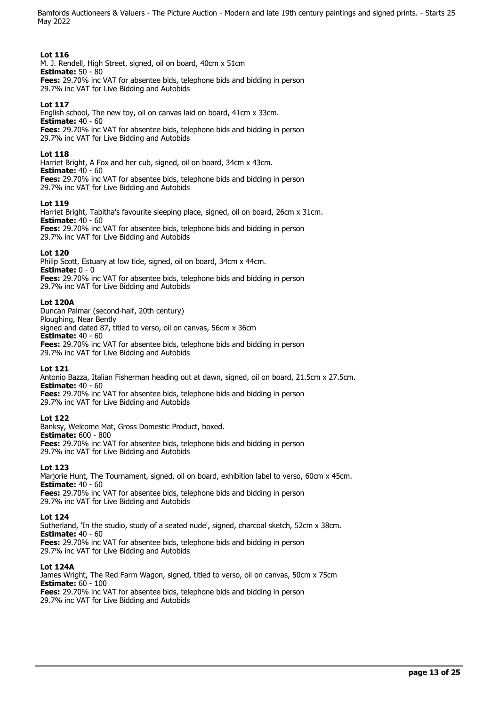## **Lot 116**

M. J. Rendell, High Street, signed, oil on board, 40cm x 51cm **Estimate:** 50 - 80 **Fees:** 29.70% inc VAT for absentee bids, telephone bids and bidding in person

29.7% inc VAT for Live Bidding and Autobids

# **Lot 117**

English school, The new toy, oil on canvas laid on board, 41cm x 33cm. **Estimate:** 40 - 60 **Fees:** 29.70% inc VAT for absentee bids, telephone bids and bidding in person 29.7% inc VAT for Live Bidding and Autobids

## **Lot 118**

Harriet Bright, A Fox and her cub, signed, oil on board, 34cm x 43cm. **Estimate:** 40 - 60 **Fees:** 29.70% inc VAT for absentee bids, telephone bids and bidding in person 29.7% inc VAT for Live Bidding and Autobids

## **Lot 119**

Harriet Bright, Tabitha's favourite sleeping place, signed, oil on board, 26cm x 31cm. **Estimate:** 40 - 60

**Fees:** 29.70% inc VAT for absentee bids, telephone bids and bidding in person 29.7% inc VAT for Live Bidding and Autobids

## **Lot 120**

Philip Scott, Estuary at low tide, signed, oil on board, 34cm x 44cm. **Estimate:** 0 - 0 **Fees:** 29.70% inc VAT for absentee bids, telephone bids and bidding in person 29.7% inc VAT for Live Bidding and Autobids

## **Lot 120A**

Duncan Palmar (second-half, 20th century) Ploughing, Near Bently signed and dated 87, titled to verso, oil on canvas, 56cm x 36cm **Estimate:** 40 - 60 **Fees:** 29.70% inc VAT for absentee bids, telephone bids and bidding in person 29.7% inc VAT for Live Bidding and Autobids

## **Lot 121**

Antonio Bazza, Italian Fisherman heading out at dawn, signed, oil on board, 21.5cm x 27.5cm. **Estimate:** 40 - 60

**Fees:** 29.70% inc VAT for absentee bids, telephone bids and bidding in person 29.7% inc VAT for Live Bidding and Autobids

## **Lot 122**

Banksy, Welcome Mat, Gross Domestic Product, boxed. **Estimate:** 600 - 800 **Fees:** 29.70% inc VAT for absentee bids, telephone bids and bidding in person 29.7% inc VAT for Live Bidding and Autobids

## **Lot 123**

Marjorie Hunt, The Tournament, signed, oil on board, exhibition label to verso, 60cm x 45cm. **Estimate:** 40 - 60

**Fees:** 29.70% inc VAT for absentee bids, telephone bids and bidding in person 29.7% inc VAT for Live Bidding and Autobids

## **Lot 124**

Sutherland, 'In the studio, study of a seated nude', signed, charcoal sketch, 52cm x 38cm. **Estimate:** 40 - 60 **Fees:** 29.70% inc VAT for absentee bids, telephone bids and bidding in person 29.7% inc VAT for Live Bidding and Autobids

## **Lot 124A**

James Wright, The Red Farm Wagon, signed, titled to verso, oil on canvas, 50cm x 75cm **Estimate:** 60 - 100 **Fees:** 29.70% inc VAT for absentee bids, telephone bids and bidding in person 29.7% inc VAT for Live Bidding and Autobids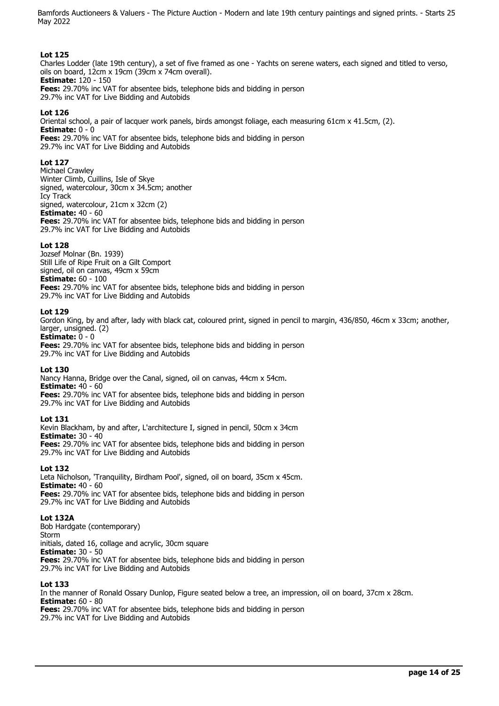## **Lot 125**

Charles Lodder (late 19th century), a set of five framed as one - Yachts on serene waters, each signed and titled to verso, oils on board, 12cm x 19cm (39cm x 74cm overall). **Estimate:** 120 - 150 **Fees:** 29.70% inc VAT for absentee bids, telephone bids and bidding in person 29.7% inc VAT for Live Bidding and Autobids

## **Lot 126**

Oriental school, a pair of lacquer work panels, birds amongst foliage, each measuring 61cm x 41.5cm, (2). **Estimate:** 0 - 0 **Fees:** 29.70% inc VAT for absentee bids, telephone bids and bidding in person 29.7% inc VAT for Live Bidding and Autobids

**Lot 127** 

Michael Crawley Winter Climb, Cuillins, Isle of Skye signed, watercolour, 30cm x 34.5cm; another Icy Track signed, watercolour, 21cm x 32cm (2) **Estimate:** 40 - 60 **Fees:** 29.70% inc VAT for absentee bids, telephone bids and bidding in person 29.7% inc VAT for Live Bidding and Autobids

### **Lot 128**

Jozsef Molnar (Bn. 1939) Still Life of Ripe Fruit on a Gilt Comport signed, oil on canvas, 49cm x 59cm **Estimate:** 60 - 100 **Fees:** 29.70% inc VAT for absentee bids, telephone bids and bidding in person 29.7% inc VAT for Live Bidding and Autobids

### **Lot 129**

Gordon King, by and after, lady with black cat, coloured print, signed in pencil to margin, 436/850, 46cm x 33cm; another, larger, unsigned. (2)

**Estimate:**  $0 - 0$ 

**Fees:** 29.70% inc VAT for absentee bids, telephone bids and bidding in person 29.7% inc VAT for Live Bidding and Autobids

### **Lot 130**

Nancy Hanna, Bridge over the Canal, signed, oil on canvas, 44cm x 54cm. **Estimate:** 40 - 60 **Fees:** 29.70% inc VAT for absentee bids, telephone bids and bidding in person 29.7% inc VAT for Live Bidding and Autobids

### **Lot 131**

Kevin Blackham, by and after, L'architecture I, signed in pencil, 50cm x 34cm **Estimate:** 30 - 40 **Fees:** 29.70% inc VAT for absentee bids, telephone bids and bidding in person 29.7% inc VAT for Live Bidding and Autobids

### **Lot 132**

Leta Nicholson, 'Tranquility, Birdham Pool', signed, oil on board, 35cm x 45cm. **Estimate:** 40 - 60 **Fees:** 29.70% inc VAT for absentee bids, telephone bids and bidding in person 29.7% inc VAT for Live Bidding and Autobids

### **Lot 132A**

Bob Hardgate (contemporary) Storm initials, dated 16, collage and acrylic, 30cm square **Estimate:** 30 - 50 **Fees:** 29.70% inc VAT for absentee bids, telephone bids and bidding in person 29.7% inc VAT for Live Bidding and Autobids

## **Lot 133**

In the manner of Ronald Ossary Dunlop, Figure seated below a tree, an impression, oil on board, 37cm x 28cm. **Estimate:** 60 - 80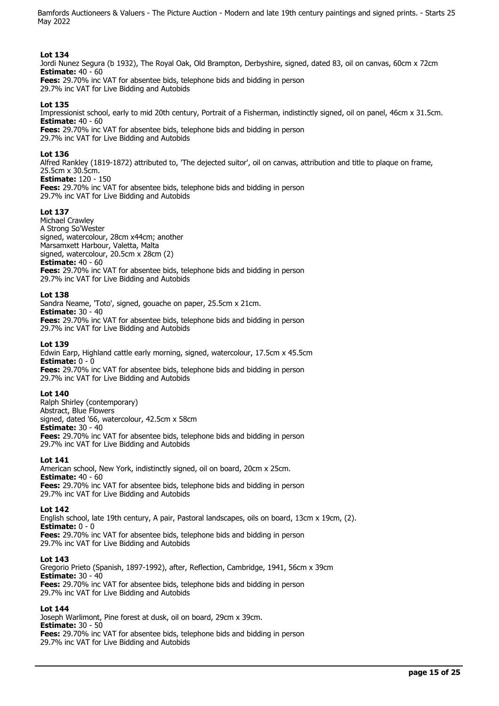## **Lot 134**

Jordi Nunez Segura (b 1932), The Royal Oak, Old Brampton, Derbyshire, signed, dated 83, oil on canvas, 60cm x 72cm **Estimate:** 40 - 60 **Fees:** 29.70% inc VAT for absentee bids, telephone bids and bidding in person

29.7% inc VAT for Live Bidding and Autobids

## **Lot 135**

Impressionist school, early to mid 20th century, Portrait of a Fisherman, indistinctly signed, oil on panel, 46cm x 31.5cm. **Estimate:** 40 - 60 **Fees:** 29.70% inc VAT for absentee bids, telephone bids and bidding in person

29.7% inc VAT for Live Bidding and Autobids

### **Lot 136**

Alfred Rankley (1819-1872) attributed to, 'The dejected suitor', oil on canvas, attribution and title to plaque on frame, 25.5cm x 30.5cm. **Estimate:** 120 - 150

**Fees:** 29.70% inc VAT for absentee bids, telephone bids and bidding in person 29.7% inc VAT for Live Bidding and Autobids

### **Lot 137**

Michael Crawley A Strong So'Wester signed, watercolour, 28cm x44cm; another Marsamxett Harbour, Valetta, Malta signed, watercolour, 20.5cm x 28cm (2) **Estimate:** 40 - 60 **Fees:** 29.70% inc VAT for absentee bids, telephone bids and bidding in person 29.7% inc VAT for Live Bidding and Autobids

### **Lot 138**

Sandra Neame, 'Toto', signed, gouache on paper, 25.5cm x 21cm. **Estimate:** 30 - 40 **Fees:** 29.70% inc VAT for absentee bids, telephone bids and bidding in person 29.7% inc VAT for Live Bidding and Autobids

### **Lot 139**

Edwin Earp, Highland cattle early morning, signed, watercolour, 17.5cm x 45.5cm **Estimate:** 0 - 0 **Fees:** 29.70% inc VAT for absentee bids, telephone bids and bidding in person 29.7% inc VAT for Live Bidding and Autobids

### **Lot 140**

Ralph Shirley (contemporary) Abstract, Blue Flowers signed, dated '66, watercolour, 42.5cm x 58cm **Estimate:** 30 - 40 **Fees:** 29.70% inc VAT for absentee bids, telephone bids and bidding in person 29.7% inc VAT for Live Bidding and Autobids

### **Lot 141**

American school, New York, indistinctly signed, oil on board, 20cm x 25cm. **Estimate:** 40 - 60 **Fees:** 29.70% inc VAT for absentee bids, telephone bids and bidding in person 29.7% inc VAT for Live Bidding and Autobids

### **Lot 142**

English school, late 19th century, A pair, Pastoral landscapes, oils on board, 13cm x 19cm, (2). **Estimate:** 0 - 0 **Fees:** 29.70% inc VAT for absentee bids, telephone bids and bidding in person 29.7% inc VAT for Live Bidding and Autobids

### **Lot 143**

Gregorio Prieto (Spanish, 1897-1992), after, Reflection, Cambridge, 1941, 56cm x 39cm **Estimate:** 30 - 40 **Fees:** 29.70% inc VAT for absentee bids, telephone bids and bidding in person 29.7% inc VAT for Live Bidding and Autobids

## **Lot 144**

Joseph Warlimont, Pine forest at dusk, oil on board, 29cm x 39cm. **Estimate:** 30 - 50 **Fees:** 29.70% inc VAT for absentee bids, telephone bids and bidding in person

29.7% inc VAT for Live Bidding and Autobids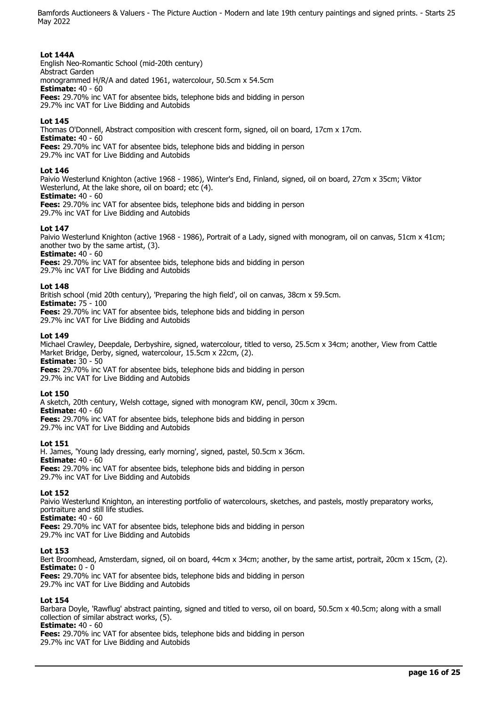## **Lot 144A**

English Neo-Romantic School (mid-20th century) Abstract Garden monogrammed H/R/A and dated 1961, watercolour, 50.5cm x 54.5cm **Estimate:** 40 - 60 **Fees:** 29.70% inc VAT for absentee bids, telephone bids and bidding in person 29.7% inc VAT for Live Bidding and Autobids

## **Lot 145**

Thomas O'Donnell, Abstract composition with crescent form, signed, oil on board, 17cm x 17cm. **Estimate:** 40 - 60 **Fees:** 29.70% inc VAT for absentee bids, telephone bids and bidding in person 29.7% inc VAT for Live Bidding and Autobids

### **Lot 146**

Paivio Westerlund Knighton (active 1968 - 1986), Winter's End, Finland, signed, oil on board, 27cm x 35cm; Viktor Westerlund, At the lake shore, oil on board; etc (4).

# **Estimate:** 40 - 60

**Fees:** 29.70% inc VAT for absentee bids, telephone bids and bidding in person 29.7% inc VAT for Live Bidding and Autobids

## **Lot 147**

Paivio Westerlund Knighton (active 1968 - 1986), Portrait of a Lady, signed with monogram, oil on canvas, 51cm x 41cm; another two by the same artist, (3).

**Estimate:** 40 - 60

**Fees:** 29.70% inc VAT for absentee bids, telephone bids and bidding in person 29.7% inc VAT for Live Bidding and Autobids

### **Lot 148**

British school (mid 20th century), 'Preparing the high field', oil on canvas, 38cm x 59.5cm.

**Estimate:** 75 - 100 **Fees:** 29.70% inc VAT for absentee bids, telephone bids and bidding in person 29.7% inc VAT for Live Bidding and Autobids

### **Lot 149**

Michael Crawley, Deepdale, Derbyshire, signed, watercolour, titled to verso, 25.5cm x 34cm; another, View from Cattle Market Bridge, Derby, signed, watercolour, 15.5cm x 22cm, (2). **Estimate:** 30 - 50

**Fees:** 29.70% inc VAT for absentee bids, telephone bids and bidding in person 29.7% inc VAT for Live Bidding and Autobids

## **Lot 150**

A sketch, 20th century, Welsh cottage, signed with monogram KW, pencil, 30cm x 39cm.

**Estimate:** 40 - 60

**Fees:** 29.70% inc VAT for absentee bids, telephone bids and bidding in person 29.7% inc VAT for Live Bidding and Autobids

## **Lot 151**

H. James, 'Young lady dressing, early morning', signed, pastel, 50.5cm x 36cm. **Estimate:** 40 - 60 **Fees:** 29.70% inc VAT for absentee bids, telephone bids and bidding in person 29.7% inc VAT for Live Bidding and Autobids

## **Lot 152**

Paivio Westerlund Knighton, an interesting portfolio of watercolours, sketches, and pastels, mostly preparatory works, portraiture and still life studies.

**Estimate:** 40 - 60

**Fees:** 29.70% inc VAT for absentee bids, telephone bids and bidding in person 29.7% inc VAT for Live Bidding and Autobids

## **Lot 153**

Bert Broomhead, Amsterdam, signed, oil on board, 44cm x 34cm; another, by the same artist, portrait, 20cm x 15cm, (2). **Estimate:** 0 - 0

**Fees:** 29.70% inc VAT for absentee bids, telephone bids and bidding in person

29.7% inc VAT for Live Bidding and Autobids

## **Lot 154**

Barbara Doyle, 'Rawflug' abstract painting, signed and titled to verso, oil on board, 50.5cm x 40.5cm; along with a small collection of similar abstract works, (5).

## **Estimate:** 40 - 60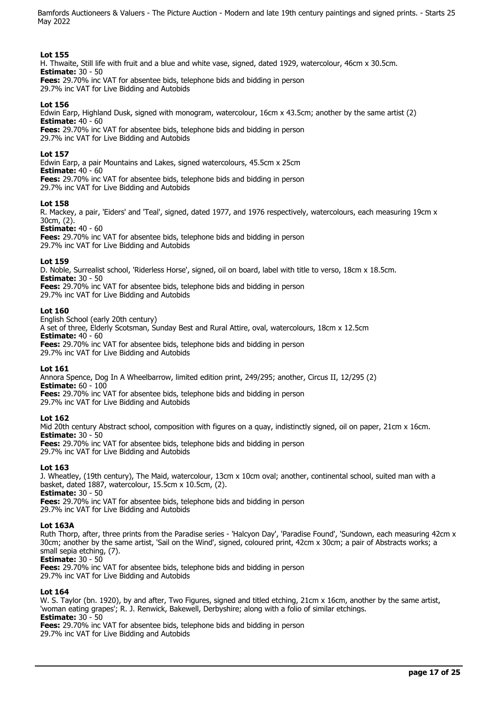## **Lot 155**

H. Thwaite, Still life with fruit and a blue and white vase, signed, dated 1929, watercolour, 46cm x 30.5cm. **Estimate:** 30 - 50 **Fees:** 29.70% inc VAT for absentee bids, telephone bids and bidding in person

29.7% inc VAT for Live Bidding and Autobids

## **Lot 156**

Edwin Earp, Highland Dusk, signed with monogram, watercolour, 16cm x 43.5cm; another by the same artist (2) **Estimate:** 40 - 60 **Fees:** 29.70% inc VAT for absentee bids, telephone bids and bidding in person 29.7% inc VAT for Live Bidding and Autobids

### **Lot 157**

Edwin Earp, a pair Mountains and Lakes, signed watercolours, 45.5cm x 25cm **Estimate:** 40 - 60 **Fees:** 29.70% inc VAT for absentee bids, telephone bids and bidding in person 29.7% inc VAT for Live Bidding and Autobids

### **Lot 158**

R. Mackey, a pair, 'Eiders' and 'Teal', signed, dated 1977, and 1976 respectively, watercolours, each measuring 19cm x 30cm, (2).

**Estimate:** 40 - 60

**Fees:** 29.70% inc VAT for absentee bids, telephone bids and bidding in person 29.7% inc VAT for Live Bidding and Autobids

### **Lot 159**

D. Noble, Surrealist school, 'Riderless Horse', signed, oil on board, label with title to verso, 18cm x 18.5cm. **Estimate:** 30 - 50

**Fees:** 29.70% inc VAT for absentee bids, telephone bids and bidding in person 29.7% inc VAT for Live Bidding and Autobids

### **Lot 160**

English School (early 20th century)

A set of three, Elderly Scotsman, Sunday Best and Rural Attire, oval, watercolours, 18cm x 12.5cm **Estimate:** 40 - 60 **Fees:** 29.70% inc VAT for absentee bids, telephone bids and bidding in person

29.7% inc VAT for Live Bidding and Autobids

### **Lot 161**

Annora Spence, Dog In A Wheelbarrow, limited edition print, 249/295; another, Circus II, 12/295 (2) **Estimate:** 60 - 100 **Fees:** 29.70% inc VAT for absentee bids, telephone bids and bidding in person

29.7% inc VAT for Live Bidding and Autobids

## **Lot 162**

Mid 20th century Abstract school, composition with figures on a quay, indistinctly signed, oil on paper, 21cm x 16cm. **Estimate:** 30 - 50

**Fees:** 29.70% inc VAT for absentee bids, telephone bids and bidding in person 29.7% inc VAT for Live Bidding and Autobids

## **Lot 163**

J. Wheatley, (19th century), The Maid, watercolour, 13cm x 10cm oval; another, continental school, suited man with a basket, dated 1887, watercolour, 15.5cm x 10.5cm, (2). **Estimate:** 30 - 50

**Fees:** 29.70% inc VAT for absentee bids, telephone bids and bidding in person

29.7% inc VAT for Live Bidding and Autobids

## **Lot 163A**

Ruth Thorp, after, three prints from the Paradise series - 'Halcyon Day', 'Paradise Found', 'Sundown, each measuring 42cm x 30cm; another by the same artist, 'Sail on the Wind', signed, coloured print, 42cm x 30cm; a pair of Abstracts works; a small sepia etching, (7).

**Estimate:** 30 - 50

**Fees:** 29.70% inc VAT for absentee bids, telephone bids and bidding in person 29.7% inc VAT for Live Bidding and Autobids

## **Lot 164**

W. S. Taylor (bn. 1920), by and after, Two Figures, signed and titled etching, 21cm x 16cm, another by the same artist, 'woman eating grapes'; R. J. Renwick, Bakewell, Derbyshire; along with a folio of similar etchings. **Estimate:** 30 - 50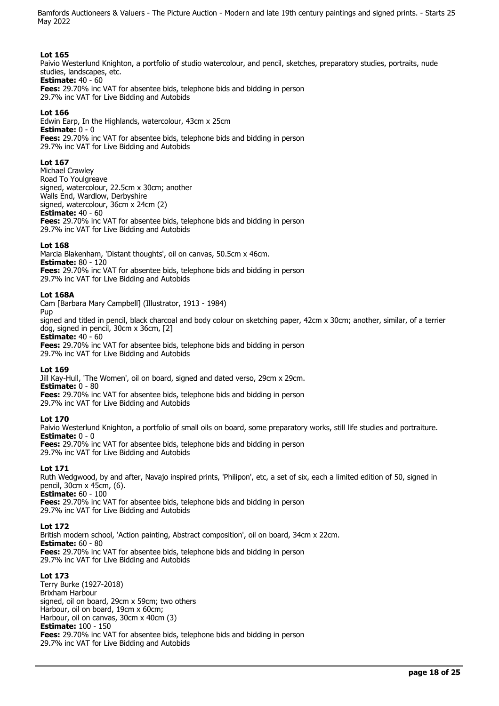## **Lot 165**

Paivio Westerlund Knighton, a portfolio of studio watercolour, and pencil, sketches, preparatory studies, portraits, nude studies, landscapes, etc. **Estimate:** 40 - 60

**Fees:** 29.70% inc VAT for absentee bids, telephone bids and bidding in person 29.7% inc VAT for Live Bidding and Autobids

## **Lot 166**

Edwin Earp, In the Highlands, watercolour, 43cm x 25cm **Estimate:** 0 - 0 **Fees:** 29.70% inc VAT for absentee bids, telephone bids and bidding in person 29.7% inc VAT for Live Bidding and Autobids

## **Lot 167**

Michael Crawley Road To Youlgreave signed, watercolour, 22.5cm x 30cm; another Walls End, Wardlow, Derbyshire signed, watercolour, 36cm x 24cm (2) **Estimate:** 40 - 60 **Fees:** 29.70% inc VAT for absentee bids, telephone bids and bidding in person 29.7% inc VAT for Live Bidding and Autobids

### **Lot 168**

Marcia Blakenham, 'Distant thoughts', oil on canvas, 50.5cm x 46cm. **Estimate:** 80 - 120 **Fees:** 29.70% inc VAT for absentee bids, telephone bids and bidding in person 29.7% inc VAT for Live Bidding and Autobids

### **Lot 168A**

Cam [Barbara Mary Campbell] (Illustrator, 1913 - 1984) Pup

signed and titled in pencil, black charcoal and body colour on sketching paper, 42cm x 30cm; another, similar, of a terrier dog, signed in pencil, 30cm x 36cm, [2]

**Estimate:** 40 - 60 **Fees:** 29.70% inc VAT for absentee bids, telephone bids and bidding in person 29.7% inc VAT for Live Bidding and Autobids

## **Lot 169**

Jill Kay-Hull, 'The Women', oil on board, signed and dated verso, 29cm x 29cm. **Estimate:** 0 - 80 **Fees:** 29.70% inc VAT for absentee bids, telephone bids and bidding in person 29.7% inc VAT for Live Bidding and Autobids

## **Lot 170**

Paivio Westerlund Knighton, a portfolio of small oils on board, some preparatory works, still life studies and portraiture. **Estimate:** 0 - 0

**Fees:** 29.70% inc VAT for absentee bids, telephone bids and bidding in person 29.7% inc VAT for Live Bidding and Autobids

## **Lot 171**

Ruth Wedgwood, by and after, Navajo inspired prints, 'Philipon', etc, a set of six, each a limited edition of 50, signed in pencil, 30cm x 45cm, (6). **Estimate:** 60 - 100

**Fees:** 29.70% inc VAT for absentee bids, telephone bids and bidding in person 29.7% inc VAT for Live Bidding and Autobids

## **Lot 172**

British modern school, 'Action painting, Abstract composition', oil on board, 34cm x 22cm. **Estimate:** 60 - 80 **Fees:** 29.70% inc VAT for absentee bids, telephone bids and bidding in person 29.7% inc VAT for Live Bidding and Autobids

## **Lot 173**

Terry Burke (1927-2018) Brixham Harbour signed, oil on board, 29cm x 59cm; two others Harbour, oil on board, 19cm x 60cm; Harbour, oil on canvas, 30cm x 40cm (3) **Estimate:** 100 - 150 **Fees:** 29.70% inc VAT for absentee bids, telephone bids and bidding in person 29.7% inc VAT for Live Bidding and Autobids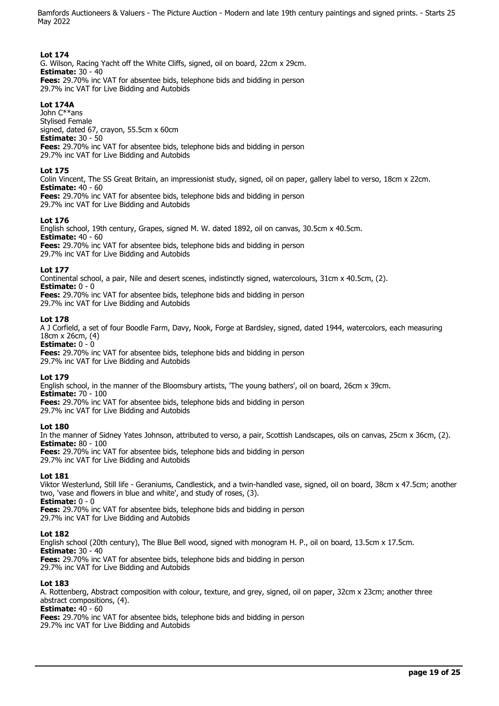## **Lot 174**

G. Wilson, Racing Yacht off the White Cliffs, signed, oil on board, 22cm x 29cm. **Estimate:** 30 - 40 **Fees:** 29.70% inc VAT for absentee bids, telephone bids and bidding in person 29.7% inc VAT for Live Bidding and Autobids

# **Lot 174A**

John C\*\*ans Stylised Female signed, dated 67, crayon, 55.5cm x 60cm **Estimate:** 30 - 50 **Fees:** 29.70% inc VAT for absentee bids, telephone bids and bidding in person 29.7% inc VAT for Live Bidding and Autobids

## **Lot 175**

Colin Vincent, The SS Great Britain, an impressionist study, signed, oil on paper, gallery label to verso, 18cm x 22cm. **Estimate:** 40 - 60

**Fees:** 29.70% inc VAT for absentee bids, telephone bids and bidding in person 29.7% inc VAT for Live Bidding and Autobids

### **Lot 176**

English school, 19th century, Grapes, signed M. W. dated 1892, oil on canvas, 30.5cm x 40.5cm. **Estimate:** 40 - 60 **Fees:** 29.70% inc VAT for absentee bids, telephone bids and bidding in person 29.7% inc VAT for Live Bidding and Autobids

### **Lot 177**

Continental school, a pair, Nile and desert scenes, indistinctly signed, watercolours, 31cm x 40.5cm, (2). **Estimate:** 0 - 0 **Fees:** 29.70% inc VAT for absentee bids, telephone bids and bidding in person

29.7% inc VAT for Live Bidding and Autobids

### **Lot 178**

A J Corfield, a set of four Boodle Farm, Davy, Nook, Forge at Bardsley, signed, dated 1944, watercolors, each measuring 18cm x 26cm, (4) **Estimate:**  $0 - 0$ 

**Fees:** 29.70% inc VAT for absentee bids, telephone bids and bidding in person 29.7% inc VAT for Live Bidding and Autobids

## **Lot 179**

English school, in the manner of the Bloomsbury artists, 'The young bathers', oil on board, 26cm x 39cm. **Estimate:** 70 - 100 **Fees:** 29.70% inc VAT for absentee bids, telephone bids and bidding in person 29.7% inc VAT for Live Bidding and Autobids

### **Lot 180**

In the manner of Sidney Yates Johnson, attributed to verso, a pair, Scottish Landscapes, oils on canvas, 25cm x 36cm, (2). **Estimate:** 80 - 100 **Fees:** 29.70% inc VAT for absentee bids, telephone bids and bidding in person 29.7% inc VAT for Live Bidding and Autobids

## **Lot 181**

Viktor Westerlund, Still life - Geraniums, Candlestick, and a twin-handled vase, signed, oil on board, 38cm x 47.5cm; another two, 'vase and flowers in blue and white', and study of roses, (3). **Estimate:** 0 - 0

**Fees:** 29.70% inc VAT for absentee bids, telephone bids and bidding in person 29.7% inc VAT for Live Bidding and Autobids

### **Lot 182**

English school (20th century), The Blue Bell wood, signed with monogram H. P., oil on board, 13.5cm x 17.5cm. **Estimate:** 30 - 40 **Fees:** 29.70% inc VAT for absentee bids, telephone bids and bidding in person 29.7% inc VAT for Live Bidding and Autobids

### **Lot 183**

A. Rottenberg, Abstract composition with colour, texture, and grey, signed, oil on paper, 32cm x 23cm; another three abstract compositions, (4).

**Estimate:** 40 - 60

**Fees:** 29.70% inc VAT for absentee bids, telephone bids and bidding in person

29.7% inc VAT for Live Bidding and Autobids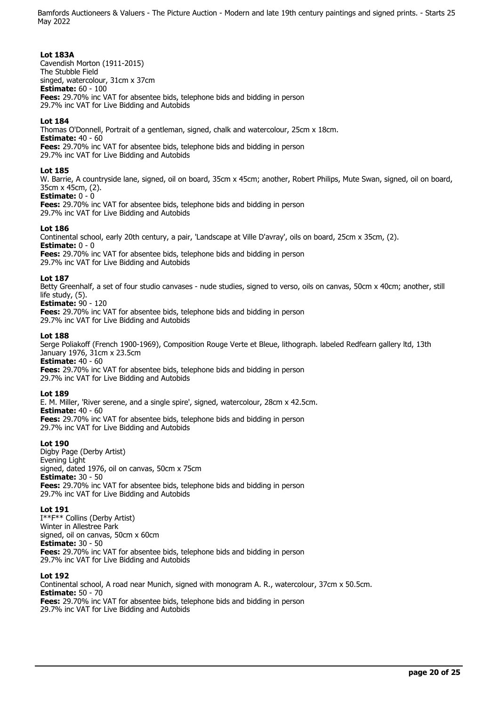### **Lot 183A**

Cavendish Morton (1911-2015) The Stubble Field singed, watercolour, 31cm x 37cm **Estimate:** 60 - 100 **Fees:** 29.70% inc VAT for absentee bids, telephone bids and bidding in person 29.7% inc VAT for Live Bidding and Autobids

## **Lot 184**

Thomas O'Donnell, Portrait of a gentleman, signed, chalk and watercolour, 25cm x 18cm. **Estimate:** 40 - 60 **Fees:** 29.70% inc VAT for absentee bids, telephone bids and bidding in person 29.7% inc VAT for Live Bidding and Autobids

### **Lot 185**

W. Barrie, A countryside lane, signed, oil on board, 35cm x 45cm; another, Robert Philips, Mute Swan, signed, oil on board, 35cm x 45cm, (2).

# **Estimate:** 0 - 0

**Fees:** 29.70% inc VAT for absentee bids, telephone bids and bidding in person 29.7% inc VAT for Live Bidding and Autobids

## **Lot 186**

Continental school, early 20th century, a pair, 'Landscape at Ville D'avray', oils on board, 25cm x 35cm, (2). **Estimate:** 0 - 0 **Fees:** 29.70% inc VAT for absentee bids, telephone bids and bidding in person

29.7% inc VAT for Live Bidding and Autobids

## **Lot 187**

Betty Greenhalf, a set of four studio canvases - nude studies, signed to verso, oils on canvas, 50cm x 40cm; another, still life study, (5).

**Estimate:** 90 - 120

**Fees:** 29.70% inc VAT for absentee bids, telephone bids and bidding in person 29.7% inc VAT for Live Bidding and Autobids

### **Lot 188**

Serge Poliakoff (French 1900-1969), Composition Rouge Verte et Bleue, lithograph. labeled Redfearn gallery ltd, 13th January 1976, 31cm x 23.5cm **Estimate:** 40 - 60

**Fees:** 29.70% inc VAT for absentee bids, telephone bids and bidding in person 29.7% inc VAT for Live Bidding and Autobids

## **Lot 189**

E. M. Miller, 'River serene, and a single spire', signed, watercolour, 28cm x 42.5cm. **Estimate:** 40 - 60 **Fees:** 29.70% inc VAT for absentee bids, telephone bids and bidding in person

29.7% inc VAT for Live Bidding and Autobids

## **Lot 190**

Digby Page (Derby Artist) Evening Light signed, dated 1976, oil on canvas, 50cm x 75cm **Estimate:** 30 - 50 **Fees:** 29.70% inc VAT for absentee bids, telephone bids and bidding in person 29.7% inc VAT for Live Bidding and Autobids

### **Lot 191**

I\*\*F\*\* Collins (Derby Artist) Winter in Allestree Park signed, oil on canvas, 50cm x 60cm **Estimate:** 30 - 50 **Fees:** 29.70% inc VAT for absentee bids, telephone bids and bidding in person 29.7% inc VAT for Live Bidding and Autobids

### **Lot 192**

Continental school, A road near Munich, signed with monogram A. R., watercolour, 37cm x 50.5cm. **Estimate:** 50 - 70 **Fees:** 29.70% inc VAT for absentee bids, telephone bids and bidding in person 29.7% inc VAT for Live Bidding and Autobids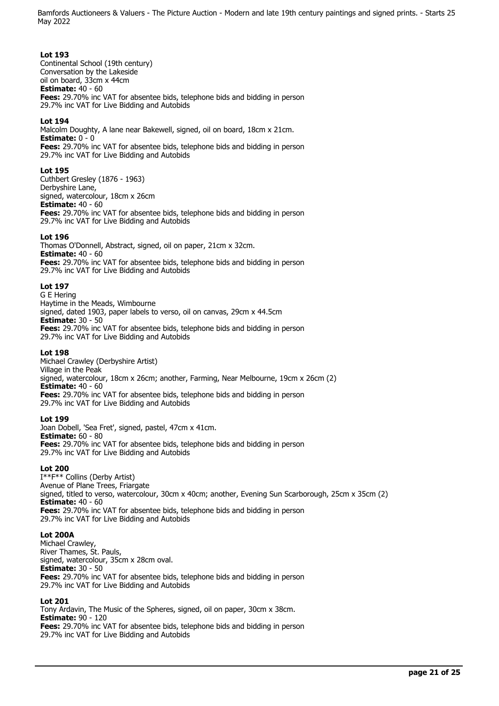### **Lot 193**

Continental School (19th century) Conversation by the Lakeside oil on board, 33cm x 44cm **Estimate:** 40 - 60 **Fees:** 29.70% inc VAT for absentee bids, telephone bids and bidding in person 29.7% inc VAT for Live Bidding and Autobids

## **Lot 194**

Malcolm Doughty, A lane near Bakewell, signed, oil on board, 18cm x 21cm. **Estimate:** 0 - 0 **Fees:** 29.70% inc VAT for absentee bids, telephone bids and bidding in person 29.7% inc VAT for Live Bidding and Autobids

### **Lot 195**

Cuthbert Gresley (1876 - 1963) Derbyshire Lane, signed, watercolour, 18cm x 26cm **Estimate:** 40 - 60 **Fees:** 29.70% inc VAT for absentee bids, telephone bids and bidding in person 29.7% inc VAT for Live Bidding and Autobids

## **Lot 196**

Thomas O'Donnell, Abstract, signed, oil on paper, 21cm x 32cm. **Estimate:** 40 - 60 **Fees:** 29.70% inc VAT for absentee bids, telephone bids and bidding in person 29.7% inc VAT for Live Bidding and Autobids

### **Lot 197**

G E Hering Haytime in the Meads, Wimbourne signed, dated 1903, paper labels to verso, oil on canvas, 29cm x 44.5cm **Estimate:** 30 - 50 **Fees:** 29.70% inc VAT for absentee bids, telephone bids and bidding in person 29.7% inc VAT for Live Bidding and Autobids

### **Lot 198**

Michael Crawley (Derbyshire Artist) Village in the Peak signed, watercolour, 18cm x 26cm; another, Farming, Near Melbourne, 19cm x 26cm (2) **Estimate:** 40 - 60 **Fees:** 29.70% inc VAT for absentee bids, telephone bids and bidding in person 29.7% inc VAT for Live Bidding and Autobids

### **Lot 199**

Joan Dobell, 'Sea Fret', signed, pastel, 47cm x 41cm. **Estimate:** 60 - 80 **Fees:** 29.70% inc VAT for absentee bids, telephone bids and bidding in person 29.7% inc VAT for Live Bidding and Autobids

## **Lot 200**

I\*\*F\*\* Collins (Derby Artist) Avenue of Plane Trees, Friargate signed, titled to verso, watercolour, 30cm x 40cm; another, Evening Sun Scarborough, 25cm x 35cm (2) **Estimate:** 40 - 60 **Fees:** 29.70% inc VAT for absentee bids, telephone bids and bidding in person 29.7% inc VAT for Live Bidding and Autobids

### **Lot 200A**

Michael Crawley, River Thames, St. Pauls, signed, watercolour, 35cm x 28cm oval. **Estimate:** 30 - 50 **Fees:** 29.70% inc VAT for absentee bids, telephone bids and bidding in person 29.7% inc VAT for Live Bidding and Autobids

### **Lot 201**

Tony Ardavin, The Music of the Spheres, signed, oil on paper, 30cm x 38cm. **Estimate:** 90 - 120 **Fees:** 29.70% inc VAT for absentee bids, telephone bids and bidding in person 29.7% inc VAT for Live Bidding and Autobids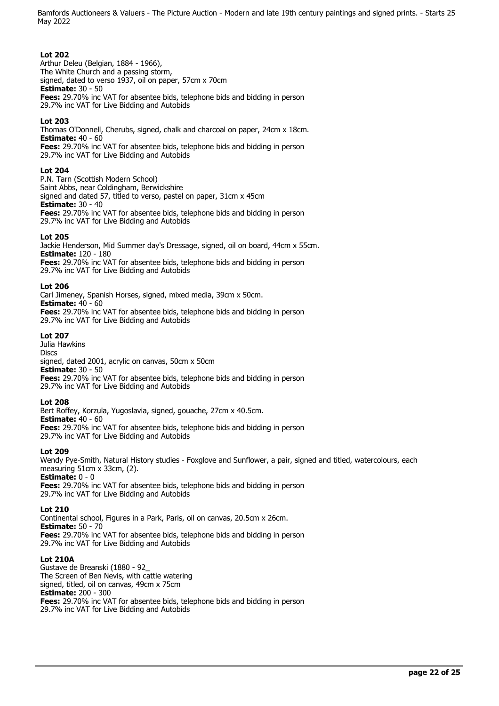### **Lot 202**

Arthur Deleu (Belgian, 1884 - 1966), The White Church and a passing storm, signed, dated to verso 1937, oil on paper, 57cm x 70cm **Estimate:** 30 - 50 **Fees:** 29.70% inc VAT for absentee bids, telephone bids and bidding in person 29.7% inc VAT for Live Bidding and Autobids

## **Lot 203**

Thomas O'Donnell, Cherubs, signed, chalk and charcoal on paper, 24cm x 18cm. **Estimate:** 40 - 60 **Fees:** 29.70% inc VAT for absentee bids, telephone bids and bidding in person 29.7% inc VAT for Live Bidding and Autobids

## **Lot 204**

P.N. Tarn (Scottish Modern School) Saint Abbs, near Coldingham, Berwickshire signed and dated 57, titled to verso, pastel on paper, 31cm x 45cm **Estimate:** 30 - 40 **Fees:** 29.70% inc VAT for absentee bids, telephone bids and bidding in person 29.7% inc VAT for Live Bidding and Autobids

### **Lot 205**

Jackie Henderson, Mid Summer day's Dressage, signed, oil on board, 44cm x 55cm. **Estimate:** 120 - 180 **Fees:** 29.70% inc VAT for absentee bids, telephone bids and bidding in person 29.7% inc VAT for Live Bidding and Autobids

### **Lot 206**

Carl Jimeney, Spanish Horses, signed, mixed media, 39cm x 50cm. **Estimate:** 40 - 60

**Fees:** 29.70% inc VAT for absentee bids, telephone bids and bidding in person 29.7% inc VAT for Live Bidding and Autobids

### **Lot 207**

Julia Hawkins Discs signed, dated 2001, acrylic on canvas, 50cm x 50cm **Estimate:** 30 - 50 **Fees:** 29.70% inc VAT for absentee bids, telephone bids and bidding in person 29.7% inc VAT for Live Bidding and Autobids

### **Lot 208**

Bert Roffey, Korzula, Yugoslavia, signed, gouache, 27cm x 40.5cm. **Estimate:** 40 - 60 **Fees:** 29.70% inc VAT for absentee bids, telephone bids and bidding in person 29.7% inc VAT for Live Bidding and Autobids

### **Lot 209**

Wendy Pye-Smith, Natural History studies - Foxglove and Sunflower, a pair, signed and titled, watercolours, each measuring 51cm x 33cm, (2). **Estimate:** 0 - 0 **Fees:** 29.70% inc VAT for absentee bids, telephone bids and bidding in person 29.7% inc VAT for Live Bidding and Autobids

### **Lot 210**

Continental school, Figures in a Park, Paris, oil on canvas, 20.5cm x 26cm. **Estimate:** 50 - 70 **Fees:** 29.70% inc VAT for absentee bids, telephone bids and bidding in person 29.7% inc VAT for Live Bidding and Autobids

### **Lot 210A**

Gustave de Breanski (1880 - 92\_ The Screen of Ben Nevis, with cattle watering signed, titled, oil on canvas, 49cm x 75cm **Estimate:** 200 - 300 **Fees:** 29.70% inc VAT for absentee bids, telephone bids and bidding in person 29.7% inc VAT for Live Bidding and Autobids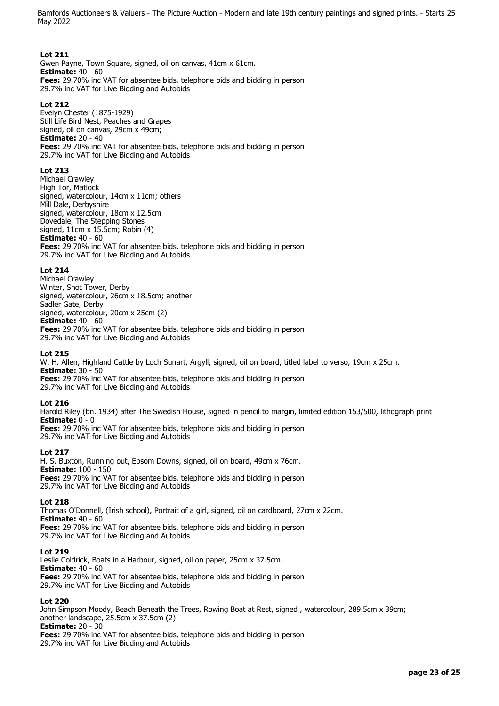### **Lot 211**

Gwen Payne, Town Square, signed, oil on canvas, 41cm x 61cm. **Estimate:** 40 - 60 **Fees:** 29.70% inc VAT for absentee bids, telephone bids and bidding in person 29.7% inc VAT for Live Bidding and Autobids

### **Lot 212**

Evelyn Chester (1875-1929) Still Life Bird Nest, Peaches and Grapes signed, oil on canvas, 29cm x 49cm; **Estimate:** 20 - 40 **Fees:** 29.70% inc VAT for absentee bids, telephone bids and bidding in person 29.7% inc VAT for Live Bidding and Autobids

### **Lot 213**

Michael Crawley High Tor, Matlock signed, watercolour, 14cm x 11cm; others Mill Dale, Derbyshire signed, watercolour, 18cm x 12.5cm Dovedale, The Stepping Stones signed, 11cm x 15.5cm; Robin (4) **Estimate:** 40 - 60 **Fees:** 29.70% inc VAT for absentee bids, telephone bids and bidding in person 29.7% inc VAT for Live Bidding and Autobids

### **Lot 214**

Michael Crawley Winter, Shot Tower, Derby signed, watercolour, 26cm x 18.5cm; another Sadler Gate, Derby signed, watercolour, 20cm x 25cm (2) **Estimate:** 40 - 60 **Fees:** 29.70% inc VAT for absentee bids, telephone bids and bidding in person 29.7% inc VAT for Live Bidding and Autobids

### **Lot 215**

W. H. Allen, Highland Cattle by Loch Sunart, Argyll, signed, oil on board, titled label to verso, 19cm x 25cm. **Estimate:** 30 - 50 **Fees:** 29.70% inc VAT for absentee bids, telephone bids and bidding in person

29.7% inc VAT for Live Bidding and Autobids

### **Lot 216**

Harold Riley (bn. 1934) after The Swedish House, signed in pencil to margin, limited edition 153/500, lithograph print **Estimate:** 0 - 0 **Fees:** 29.70% inc VAT for absentee bids, telephone bids and bidding in person

29.7% inc VAT for Live Bidding and Autobids

## **Lot 217**

H. S. Buxton, Running out, Epsom Downs, signed, oil on board, 49cm x 76cm. **Estimate:** 100 - 150 **Fees:** 29.70% inc VAT for absentee bids, telephone bids and bidding in person 29.7% inc VAT for Live Bidding and Autobids

### **Lot 218**

Thomas O'Donnell, (Irish school), Portrait of a girl, signed, oil on cardboard, 27cm x 22cm. **Estimate:** 40 - 60 **Fees:** 29.70% inc VAT for absentee bids, telephone bids and bidding in person 29.7% inc VAT for Live Bidding and Autobids

### **Lot 219**

Leslie Coldrick, Boats in a Harbour, signed, oil on paper, 25cm x 37.5cm. **Estimate:** 40 - 60 **Fees:** 29.70% inc VAT for absentee bids, telephone bids and bidding in person 29.7% inc VAT for Live Bidding and Autobids

### **Lot 220**

John Simpson Moody, Beach Beneath the Trees, Rowing Boat at Rest, signed , watercolour, 289.5cm x 39cm; another landscape, 25.5cm x 37.5cm (2) **Estimate:** 20 - 30 **Fees:** 29.70% inc VAT for absentee bids, telephone bids and bidding in person

29.7% inc VAT for Live Bidding and Autobids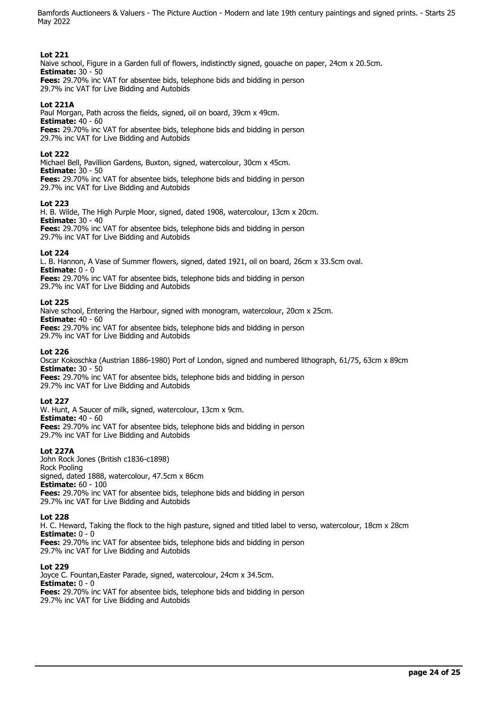## **Lot 221**

Naive school, Figure in a Garden full of flowers, indistinctly signed, gouache on paper, 24cm x 20.5cm. **Estimate:** 30 - 50 **Fees:** 29.70% inc VAT for absentee bids, telephone bids and bidding in person

29.7% inc VAT for Live Bidding and Autobids

## **Lot 221A**

Paul Morgan, Path across the fields, signed, oil on board, 39cm x 49cm. **Estimate:** 40 - 60 **Fees:** 29.70% inc VAT for absentee bids, telephone bids and bidding in person 29.7% inc VAT for Live Bidding and Autobids

### **Lot 222**

Michael Bell, Pavillion Gardens, Buxton, signed, watercolour, 30cm x 45cm. **Estimate:** 30 - 50 **Fees:** 29.70% inc VAT for absentee bids, telephone bids and bidding in person

29.7% inc VAT for Live Bidding and Autobids

### **Lot 223**

H. B. Wilde, The High Purple Moor, signed, dated 1908, watercolour, 13cm x 20cm. **Estimate:** 30 - 40

**Fees:** 29.70% inc VAT for absentee bids, telephone bids and bidding in person 29.7% inc VAT for Live Bidding and Autobids

### **Lot 224**

L. B. Hannon, A Vase of Summer flowers, signed, dated 1921, oil on board, 26cm x 33.5cm oval. **Estimate:** 0 - 0

**Fees:** 29.70% inc VAT for absentee bids, telephone bids and bidding in person 29.7% inc VAT for Live Bidding and Autobids

### **Lot 225**

Naive school, Entering the Harbour, signed with monogram, watercolour, 20cm x 25cm. **Estimate:** 40 - 60 **Fees:** 29.70% inc VAT for absentee bids, telephone bids and bidding in person

29.7% inc VAT for Live Bidding and Autobids

### **Lot 226**

Oscar Kokoschka (Austrian 1886-1980) Port of London, signed and numbered lithograph, 61/75, 63cm x 89cm **Estimate:** 30 - 50

**Fees:** 29.70% inc VAT for absentee bids, telephone bids and bidding in person 29.7% inc VAT for Live Bidding and Autobids

### **Lot 227**

W. Hunt, A Saucer of milk, signed, watercolour, 13cm x 9cm. **Estimate:** 40 - 60 **Fees:** 29.70% inc VAT for absentee bids, telephone bids and bidding in person 29.7% inc VAT for Live Bidding and Autobids

## **Lot 227A**

John Rock Jones (British c1836-c1898) Rock Pooling signed, dated 1888, watercolour, 47.5cm x 86cm **Estimate:** 60 - 100 **Fees:** 29.70% inc VAT for absentee bids, telephone bids and bidding in person 29.7% inc VAT for Live Bidding and Autobids

### **Lot 228**

H. C. Heward, Taking the flock to the high pasture, signed and titled label to verso, watercolour, 18cm x 28cm **Estimate:** 0 - 0 **Fees:** 29.70% inc VAT for absentee bids, telephone bids and bidding in person

29.7% inc VAT for Live Bidding and Autobids

## **Lot 229**

Joyce C. Fountan,Easter Parade, signed, watercolour, 24cm x 34.5cm. **Estimate:** 0 - 0 **Fees:** 29.70% inc VAT for absentee bids, telephone bids and bidding in person 29.7% inc VAT for Live Bidding and Autobids